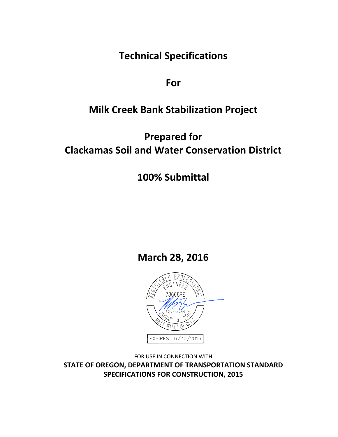**Technical Specifications**

**For**

# **Milk Creek Bank Stabilization Project**

# **Prepared for Clackamas Soil and Water Conservation District**

# **100% Submittal**

**March 28, 2016**



FOR USE IN CONNECTION WITH **STATE OF OREGON, DEPARTMENT OF TRANSPORTATION STANDARD SPECIFICATIONS FOR CONSTRUCTION, 2015**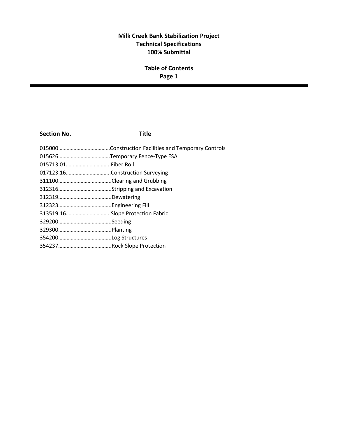### **Milk Creek Bank Stabilization Project Technical Specifications 100% Submittal**

### **Table of Contents Page 1**

#### **Section No. Title**

| 015713.01Fiber Roll              |  |
|----------------------------------|--|
|                                  |  |
|                                  |  |
|                                  |  |
|                                  |  |
|                                  |  |
| 313519.16Slope Protection Fabric |  |
|                                  |  |
|                                  |  |
|                                  |  |
|                                  |  |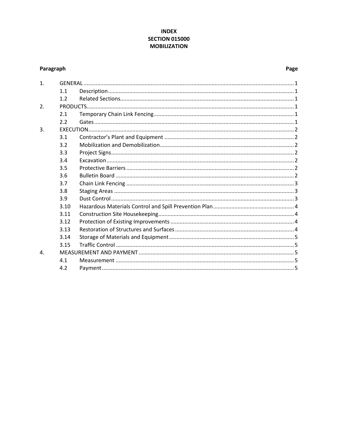#### **INDEX SECTION 015000 MOBILIZATION**

### <span id="page-2-0"></span>Paragraph

#### Page

| $\mathbf{1}$ . |      |  |  |
|----------------|------|--|--|
|                | 1.1  |  |  |
|                | 1.2  |  |  |
| 2.             |      |  |  |
|                | 2.1  |  |  |
|                | 2.2  |  |  |
| $\mathbf{R}$   |      |  |  |
|                | 3.1  |  |  |
|                | 3.2  |  |  |
|                | 3.3  |  |  |
|                | 3.4  |  |  |
|                | 3.5  |  |  |
|                | 3.6  |  |  |
|                | 3.7  |  |  |
|                | 3.8  |  |  |
|                | 3.9  |  |  |
|                | 3.10 |  |  |
|                | 3.11 |  |  |
|                | 3.12 |  |  |
|                | 3.13 |  |  |
|                | 3.14 |  |  |
|                | 3.15 |  |  |
| $\mathbf{A}$ . |      |  |  |
|                | 4.1  |  |  |
|                | 4.2  |  |  |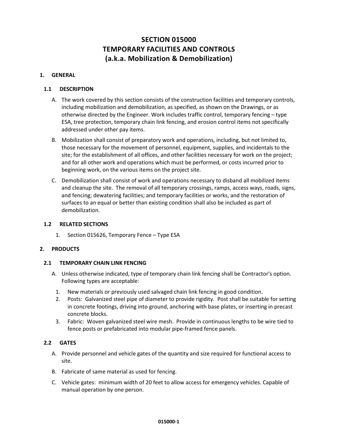### **SECTION 015000 TEMPORARY FACILITIES AND CONTROLS (a.k.a. Mobilization & Demobilization)**

#### <span id="page-3-1"></span><span id="page-3-0"></span>**1. GENERAL**

#### **1.1 DESCRIPTION**

- A. The work covered by this section consists of the construction facilities and temporary controls, including mobilization and demobilization, as specified, as shown on the Drawings, or as otherwise directed by the Engineer. Work includes traffic control, temporary fencing – type ESA, tree protection, temporary chain link fencing, and erosion control items not specifically addressed under other pay items.
- B. Mobilization shall consist of preparatory work and operations, including, but not limited to, those necessary for the movement of personnel, equipment, supplies, and incidentals to the site; for the establishment of all offices, and other facilities necessary for work on the project; and for all other work and operations which must be performed, or costs incurred prior to beginning work, on the various items on the project site.
- C. Demobilization shall consist of work and operations necessary to disband all mobilized items and cleanup the site. The removal of all temporary crossings, ramps, access ways, roads, signs, and fencing; dewatering facilities; and temporary facilities or works, and the restoration of surfaces to an equal or better than existing condition shall also be included as part of demobilization.

#### <span id="page-3-2"></span>**1.2 RELATED SECTIONS**

1. Section 015626, Temporary Fence – Type ESA

#### <span id="page-3-4"></span><span id="page-3-3"></span>**2. PRODUCTS**

#### **2.1 TEMPORARY CHAIN LINK FENCING**

- A. Unless otherwise indicated, type of temporary chain link fencing shall be Contractor's option. Following types are acceptable:
	- 1. New materials or previously used salvaged chain link fencing in good condition.
	- 2. Posts: Galvanized steel pipe of diameter to provide rigidity. Post shall be suitable for setting in concrete footings, driving into ground, anchoring with base plates, or inserting in precast concrete blocks.
	- 3. Fabric: Woven galvanized steel wire mesh. Provide in continuous lengths to be wire tied to fence posts or prefabricated into modular pipe-framed fence panels.

#### <span id="page-3-5"></span>**2.2 GATES**

- A. Provide personnel and vehicle gates of the quantity and size required for functional access to site.
- B. Fabricate of same material as used for fencing.
- C. Vehicle gates: minimum width of 20 feet to allow access for emergency vehicles. Capable of manual operation by one person.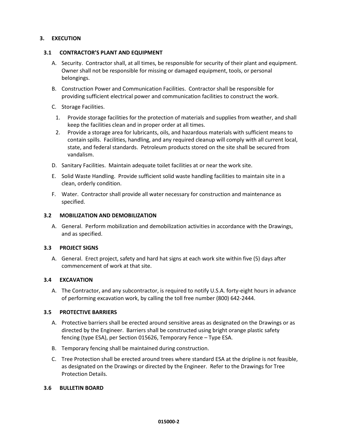#### <span id="page-4-1"></span><span id="page-4-0"></span>**3. EXECUTION**

#### **3.1 CONTRACTOR'S PLANT AND EQUIPMENT**

- A. Security. Contractor shall, at all times, be responsible for security of their plant and equipment. Owner shall not be responsible for missing or damaged equipment, tools, or personal belongings.
- B. Construction Power and Communication Facilities. Contractor shall be responsible for providing sufficient electrical power and communication facilities to construct the work.
- C. Storage Facilities.
	- 1. Provide storage facilities for the protection of materials and supplies from weather, and shall keep the facilities clean and in proper order at all times.
	- 2. Provide a storage area for lubricants, oils, and hazardous materials with sufficient means to contain spills. Facilities, handling, and any required cleanup will comply with all current local, state, and federal standards. Petroleum products stored on the site shall be secured from vandalism.
- D. Sanitary Facilities. Maintain adequate toilet facilities at or near the work site.
- E. Solid Waste Handling. Provide sufficient solid waste handling facilities to maintain site in a clean, orderly condition.
- F. Water. Contractor shall provide all water necessary for construction and maintenance as specified.

#### <span id="page-4-2"></span>**3.2 MOBILIZATION AND DEMOBILIZATION**

A. General. Perform mobilization and demobilization activities in accordance with the Drawings, and as specified.

#### <span id="page-4-3"></span>**3.3 PROJECT SIGNS**

A. General. Erect project, safety and hard hat signs at each work site within five (5) days after commencement of work at that site.

#### <span id="page-4-4"></span>**3.4 EXCAVATION**

A. The Contractor, and any subcontractor, is required to notify U.S.A. forty-eight hours in advance of performing excavation work, by calling the toll free number (800) 642-2444.

#### <span id="page-4-5"></span>**3.5 PROTECTIVE BARRIERS**

- A. Protective barriers shall be erected around sensitive areas as designated on the Drawings or as directed by the Engineer. Barriers shall be constructed using bright orange plastic safety fencing (type ESA), per Section 015626, Temporary Fence – Type ESA.
- B. Temporary fencing shall be maintained during construction.
- C. Tree Protection shall be erected around trees where standard ESA at the dripline is not feasible, as designated on the Drawings or directed by the Engineer. Refer to the Drawings for Tree Protection Details.

#### <span id="page-4-6"></span>**3.6 BULLETIN BOARD**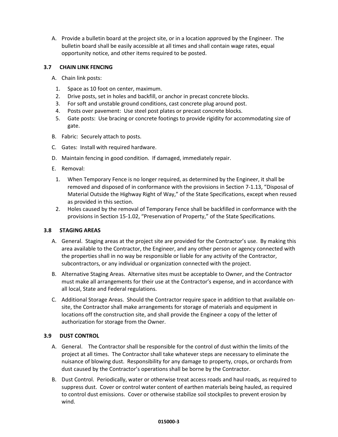A. Provide a bulletin board at the project site, or in a location approved by the Engineer. The bulletin board shall be easily accessible at all times and shall contain wage rates, equal opportunity notice, and other items required to be posted.

#### <span id="page-5-0"></span>**3.7 CHAIN LINK FENCING**

- A. Chain link posts:
	- 1. Space as 10 foot on center, maximum.
	- 2. Drive posts, set in holes and backfill, or anchor in precast concrete blocks.
	- 3. For soft and unstable ground conditions, cast concrete plug around post.
	- 4. Posts over pavement: Use steel post plates or precast concrete blocks.
	- 5. Gate posts: Use bracing or concrete footings to provide rigidity for accommodating size of gate.
- B. Fabric: Securely attach to posts.
- C. Gates: Install with required hardware.
- D. Maintain fencing in good condition. If damaged, immediately repair.
- E. Removal:
	- 1. When Temporary Fence is no longer required, as determined by the Engineer, it shall be removed and disposed of in conformance with the provisions in Section 7-1.13, "Disposal of Material Outside the Highway Right of Way," of the State Specifications, except when reused as provided in this section.
	- 2. Holes caused by the removal of Temporary Fence shall be backfilled in conformance with the provisions in Section 15-1.02, "Preservation of Property," of the State Specifications.

#### <span id="page-5-1"></span>**3.8 STAGING AREAS**

- A. General. Staging areas at the project site are provided for the Contractor's use. By making this area available to the Contractor, the Engineer, and any other person or agency connected with the properties shall in no way be responsible or liable for any activity of the Contractor, subcontractors, or any individual or organization connected with the project.
- B. Alternative Staging Areas. Alternative sites must be acceptable to Owner, and the Contractor must make all arrangements for their use at the Contractor's expense, and in accordance with all local, State and Federal regulations.
- C. Additional Storage Areas. Should the Contractor require space in addition to that available onsite, the Contractor shall make arrangements for storage of materials and equipment in locations off the construction site, and shall provide the Engineer a copy of the letter of authorization for storage from the Owner.

#### <span id="page-5-2"></span>**3.9 DUST CONTROL**

- A. General. The Contractor shall be responsible for the control of dust within the limits of the project at all times. The Contractor shall take whatever steps are necessary to eliminate the nuisance of blowing dust. Responsibility for any damage to property, crops, or orchards from dust caused by the Contractor's operations shall be borne by the Contractor.
- B. Dust Control. Periodically, water or otherwise treat access roads and haul roads, as required to suppress dust. Cover or control water content of earthen materials being hauled, as required to control dust emissions. Cover or otherwise stabilize soil stockpiles to prevent erosion by wind.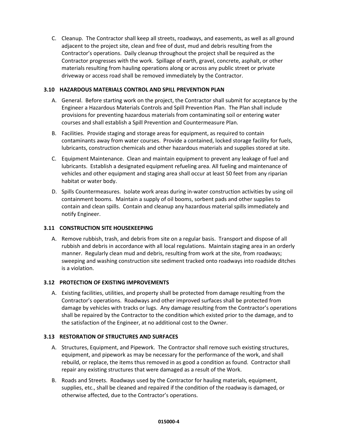C. Cleanup. The Contractor shall keep all streets, roadways, and easements, as well as all ground adjacent to the project site, clean and free of dust, mud and debris resulting from the Contractor's operations. Daily cleanup throughout the project shall be required as the Contractor progresses with the work. Spillage of earth, gravel, concrete, asphalt, or other materials resulting from hauling operations along or across any public street or private driveway or access road shall be removed immediately by the Contractor.

#### <span id="page-6-0"></span>**3.10 HAZARDOUS MATERIALS CONTROL AND SPILL PREVENTION PLAN**

- A. General. Before starting work on the project, the Contractor shall submit for acceptance by the Engineer a Hazardous Materials Controls and Spill Prevention Plan. The Plan shall include provisions for preventing hazardous materials from contaminating soil or entering water courses and shall establish a Spill Prevention and Countermeasure Plan.
- B. Facilities. Provide staging and storage areas for equipment, as required to contain contaminants away from water courses. Provide a contained, locked storage facility for fuels, lubricants, construction chemicals and other hazardous materials and supplies stored at site.
- C. Equipment Maintenance. Clean and maintain equipment to prevent any leakage of fuel and lubricants. Establish a designated equipment refueling area. All fueling and maintenance of vehicles and other equipment and staging area shall occur at least 50 feet from any riparian habitat or water body.
- D. Spills Countermeasures. Isolate work areas during in-water construction activities by using oil containment booms. Maintain a supply of oil booms, sorbent pads and other supplies to contain and clean spills. Contain and cleanup any hazardous material spills immediately and notify Engineer.

#### <span id="page-6-1"></span>**3.11 CONSTRUCTION SITE HOUSEKEEPING**

A. Remove rubbish, trash, and debris from site on a regular basis. Transport and dispose of all rubbish and debris in accordance with all local regulations. Maintain staging area in an orderly manner. Regularly clean mud and debris, resulting from work at the site, from roadways; sweeping and washing construction site sediment tracked onto roadways into roadside ditches is a violation.

#### <span id="page-6-2"></span>**3.12 PROTECTION OF EXISTING IMPROVEMENTS**

A. Existing facilities, utilities, and property shall be protected from damage resulting from the Contractor's operations. Roadways and other improved surfaces shall be protected from damage by vehicles with tracks or lugs. Any damage resulting from the Contractor's operations shall be repaired by the Contractor to the condition which existed prior to the damage, and to the satisfaction of the Engineer, at no additional cost to the Owner.

#### <span id="page-6-3"></span>**3.13 RESTORATION OF STRUCTURES AND SURFACES**

- A. Structures, Equipment, and Pipework. The Contractor shall remove such existing structures, equipment, and pipework as may be necessary for the performance of the work, and shall rebuild, or replace, the items thus removed in as good a condition as found. Contractor shall repair any existing structures that were damaged as a result of the Work.
- B. Roads and Streets. Roadways used by the Contractor for hauling materials, equipment, supplies, etc., shall be cleaned and repaired if the condition of the roadway is damaged, or otherwise affected, due to the Contractor's operations.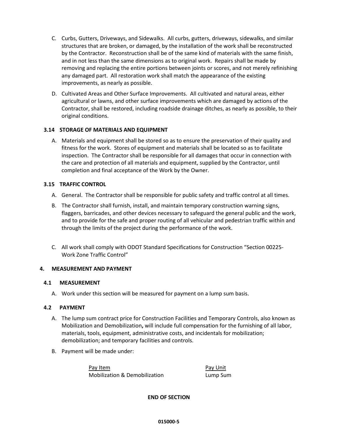- C. Curbs, Gutters, Driveways, and Sidewalks. All curbs, gutters, driveways, sidewalks, and similar structures that are broken, or damaged, by the installation of the work shall be reconstructed by the Contractor. Reconstruction shall be of the same kind of materials with the same finish, and in not less than the same dimensions as to original work. Repairs shall be made by removing and replacing the entire portions between joints or scores, and not merely refinishing any damaged part. All restoration work shall match the appearance of the existing improvements, as nearly as possible.
- D. Cultivated Areas and Other Surface Improvements. All cultivated and natural areas, either agricultural or lawns, and other surface improvements which are damaged by actions of the Contractor, shall be restored, including roadside drainage ditches, as nearly as possible, to their original conditions.

#### <span id="page-7-0"></span>**3.14 STORAGE OF MATERIALS AND EQUIPMENT**

A. Materials and equipment shall be stored so as to ensure the preservation of their quality and fitness for the work. Stores of equipment and materials shall be located so as to facilitate inspection. The Contractor shall be responsible for all damages that occur in connection with the care and protection of all materials and equipment, supplied by the Contractor, until completion and final acceptance of the Work by the Owner.

#### <span id="page-7-1"></span>**3.15 TRAFFIC CONTROL**

- A. General. The Contractor shall be responsible for public safety and traffic control at all times.
- B. The Contractor shall furnish, install, and maintain temporary construction warning signs, flaggers, barricades, and other devices necessary to safeguard the general public and the work, and to provide for the safe and proper routing of all vehicular and pedestrian traffic within and through the limits of the project during the performance of the work.
- C. All work shall comply with ODOT Standard Specifications for Construction "Section 00225- Work Zone Traffic Control"

#### <span id="page-7-3"></span><span id="page-7-2"></span>**4. MEASUREMENT AND PAYMENT**

#### **4.1 MEASUREMENT**

A. Work under this section will be measured for payment on a lump sum basis.

#### <span id="page-7-4"></span>**4.2 PAYMENT**

- A. The lump sum contract price for Construction Facilities and Temporary Controls, also known as Mobilization and Demobilization**,** will include full compensation for the furnishing of all labor, materials, tools, equipment, administrative costs, and incidentals for mobilization; demobilization; and temporary facilities and controls.
- B. Payment will be made under:

Pay Item **Pay Item** Pay Unit Mobilization & Demobilization Lump Sum

**END OF SECTION**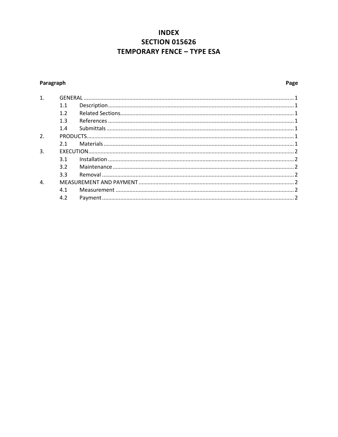### **INDEX SECTION 015626 TEMPORARY FENCE - TYPE ESA**

### <span id="page-8-0"></span>Paragraph

### Page

| $\mathbf{1}$ .   |     |  |
|------------------|-----|--|
|                  | 1.1 |  |
|                  | 1.2 |  |
|                  | 1.3 |  |
|                  | 1.4 |  |
| $\overline{2}$ . |     |  |
|                  | 2.1 |  |
| 3.               |     |  |
|                  | 3.1 |  |
|                  | 3.2 |  |
|                  | 3.3 |  |
| 4.               |     |  |
|                  | 4.1 |  |
|                  | 4.2 |  |
|                  |     |  |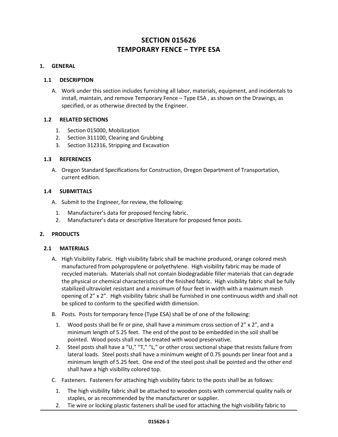### **SECTION 015626 TEMPORARY FENCE – TYPE ESA**

#### <span id="page-9-1"></span><span id="page-9-0"></span>**1. GENERAL**

#### **1.1 DESCRIPTION**

A. Work under this section includes furnishing all labor, materials, equipment, and incidentals to install, maintain, and remove Temporary Fence – Type ESA , as shown on the Drawings, as specified, or as otherwise directed by the Engineer.

#### <span id="page-9-2"></span>**1.2 RELATED SECTIONS**

- 1. Section 015000, Mobilization
- 2. Section 311100, Clearing and Grubbing
- 3. Section 312316, Stripping and Excavation

#### <span id="page-9-3"></span>**1.3 REFERENCES**

A. Oregon Standard Specifications for Construction, Oregon Department of Transportation, current edition.

#### <span id="page-9-4"></span>**1.4 SUBMITTALS**

- A. Submit to the Engineer, for review, the following:
	- 1. Manufacturer's data for proposed fencing fabric.
	- 2. Manufacturer's data or descriptive literature for proposed fence posts.

#### <span id="page-9-6"></span><span id="page-9-5"></span>**2. PRODUCTS**

#### **2.1 MATERIALS**

- A. High Visibility Fabric. High visibility fabric shall be machine produced, orange colored mesh manufactured from polypropylene or polyethylene. High visibility fabric may be made of recycled materials. Materials shall not contain biodegradable filler materials that can degrade the physical or chemical characteristics of the finished fabric. High visibility fabric shall be fully stabilized ultraviolet resistant and a minimum of four feet in width with a maximum mesh opening of 2" x 2". High visibility fabric shall be furnished in one continuous width and shall not be spliced to conform to the specified width dimension.
- B. Posts. Posts for temporary fence (Type ESA) shall be of one of the following:
	- 1. Wood posts shall be fir or pine, shall have a minimum cross section of  $2'' \times 2''$ , and a minimum length of 5.25 feet. The end of the post to be embedded in the soil shall be pointed. Wood posts shall not be treated with wood preservative.
	- 2. Steel posts shall have a "U," "T," "L," or other cross sectional shape that resists failure from lateral loads. Steel posts shall have a minimum weight of 0.75 pounds per linear foot and a minimum length of 5.25 feet. One end of the steel post shall be pointed and the other end shall have a high visibility colored top.
- C. Fasteners. Fasteners for attaching high visibility fabric to the posts shall be as follows:
	- 1. The high visibility fabric shall be attached to wooden posts with commercial quality nails or staples, or as recommended by the manufacturer or supplier.
	- 2. Tie wire or locking plastic fasteners shall be used for attaching the high visibility fabric to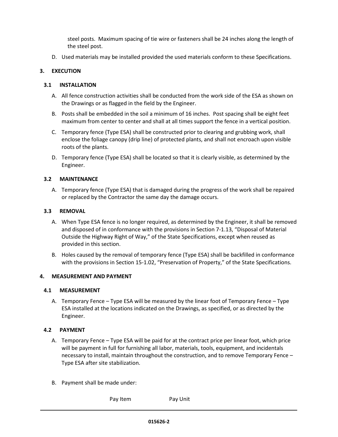steel posts. Maximum spacing of tie wire or fasteners shall be 24 inches along the length of the steel post.

D. Used materials may be installed provided the used materials conform to these Specifications.

#### <span id="page-10-1"></span><span id="page-10-0"></span>**3. EXECUTION**

#### **3.1 INSTALLATION**

- A. All fence construction activities shall be conducted from the work side of the ESA as shown on the Drawings or as flagged in the field by the Engineer.
- B. Posts shall be embedded in the soil a minimum of 16 inches. Post spacing shall be eight feet maximum from center to center and shall at all times support the fence in a vertical position.
- C. Temporary fence (Type ESA) shall be constructed prior to clearing and grubbing work, shall enclose the foliage canopy (drip line) of protected plants, and shall not encroach upon visible roots of the plants.
- D. Temporary fence (Type ESA) shall be located so that it is clearly visible, as determined by the Engineer.

#### <span id="page-10-2"></span>**3.2 MAINTENANCE**

A. Temporary fence (Type ESA) that is damaged during the progress of the work shall be repaired or replaced by the Contractor the same day the damage occurs.

#### <span id="page-10-3"></span>**3.3 REMOVAL**

- A. When Type ESA fence is no longer required, as determined by the Engineer, it shall be removed and disposed of in conformance with the provisions in Section 7-1.13, "Disposal of Material Outside the Highway Right of Way," of the State Specifications, except when reused as provided in this section.
- B. Holes caused by the removal of temporary fence (Type ESA) shall be backfilled in conformance with the provisions in Section 15-1.02, "Preservation of Property," of the State Specifications.

#### <span id="page-10-5"></span><span id="page-10-4"></span>**4. MEASUREMENT AND PAYMENT**

#### **4.1 MEASUREMENT**

A. Temporary Fence – Type ESA will be measured by the linear foot of Temporary Fence – Type ESA installed at the locations indicated on the Drawings, as specified, or as directed by the Engineer.

#### <span id="page-10-6"></span>**4.2 PAYMENT**

- A. Temporary Fence Type ESA will be paid for at the contract price per linear foot, which price will be payment in full for furnishing all labor, materials, tools, equipment, and incidentals necessary to install, maintain throughout the construction, and to remove Temporary Fence – Type ESA after site stabilization.
- B. Payment shall be made under:

Pay Item Pay Unit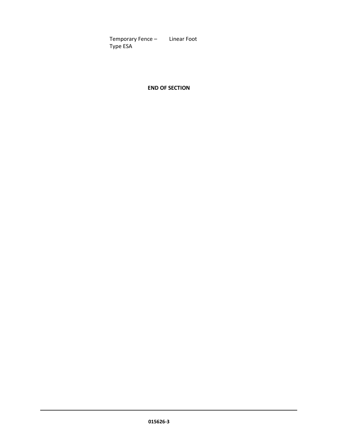Temporary Fence – Linear Foot Type ESA

**END OF SECTION**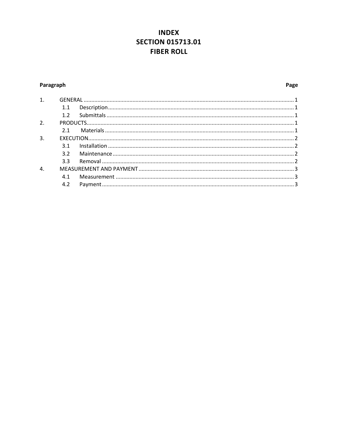### **INDEX SECTION 015713.01 FIBER ROLL**

#### <span id="page-12-0"></span>Paragraph

#### Page

| 1.               |     |  |
|------------------|-----|--|
|                  | 1.1 |  |
|                  | 1.2 |  |
| 2.               |     |  |
|                  | 21  |  |
| 3.               |     |  |
|                  | 3.1 |  |
|                  | 3.2 |  |
|                  | 3.3 |  |
| $\overline{4}$ . |     |  |
|                  | 4.1 |  |
|                  | 4.2 |  |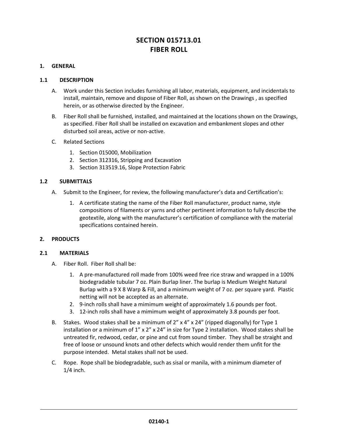### **SECTION 015713.01 FIBER ROLL**

#### <span id="page-13-0"></span>**1. GENERAL**

#### <span id="page-13-1"></span>**1.1 DESCRIPTION**

- A. Work under this Section includes furnishing all labor, materials, equipment, and incidentals to install, maintain, remove and dispose of Fiber Roll, as shown on the Drawings , as specified herein, or as otherwise directed by the Engineer.
- B. Fiber Roll shall be furnished, installed, and maintained at the locations shown on the Drawings, as specified. Fiber Roll shall be installed on excavation and embankment slopes and other disturbed soil areas, active or non-active.
- C. Related Sections
	- 1. Section 015000, Mobilization
	- 2. Section 312316, Stripping and Excavation
	- 3. Section 313519.16, Slope Protection Fabric

#### <span id="page-13-2"></span>**1.2 SUBMITTALS**

- A. Submit to the Engineer, for review, the following manufacturer's data and Certification's:
	- 1. A certificate stating the name of the Fiber Roll manufacturer, product name, style compositions of filaments or yarns and other pertinent information to fully describe the geotextile, along with the manufacturer's certification of compliance with the material specifications contained herein.

#### <span id="page-13-3"></span>**2. PRODUCTS**

#### **2.1 MATERIALS**

- <span id="page-13-4"></span>A. Fiber Roll. Fiber Roll shall be:
	- 1. A pre-manufactured roll made from 100% weed free rice straw and wrapped in a 100% biodegradable tubular 7 oz. Plain Burlap liner. The burlap is Medium Weight Natural Burlap with a 9 X 8 Warp & Fill, and a minimum weight of 7 oz. per square yard. Plastic netting will not be accepted as an alternate.
	- 2. 9-inch rolls shall have a mimimum weight of approximately 1.6 pounds per foot.
	- 3. 12-inch rolls shall have a mimimum weight of approximately 3.8 pounds per foot.
- B. Stakes. Wood stakes shall be a minimum of  $2''$  x  $4''$  x  $24''$  (ripped diagonally) for Type 1 installation or a minimum of 1" x 2" x 24" in size for Type 2 installation. Wood stakes shall be untreated fir, redwood, cedar, or pine and cut from sound timber. They shall be straight and free of loose or unsound knots and other defects which would render them unfit for the purpose intended. Metal stakes shall not be used.
- C. Rope. Rope shall be biodegradable, such as sisal or manila, with a minimum diameter of 1/4 inch.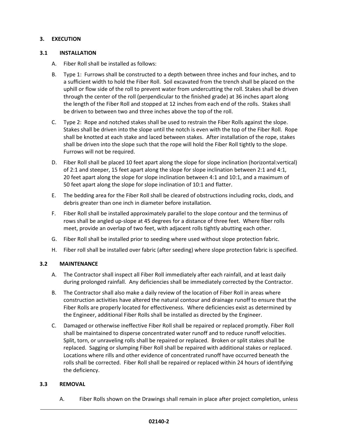#### <span id="page-14-0"></span>**3. EXECUTION**

#### <span id="page-14-1"></span>**3.1 INSTALLATION**

- A. Fiber Roll shall be installed as follows:
- B. Type 1: Furrows shall be constructed to a depth between three inches and four inches, and to a sufficient width to hold the Fiber Roll. Soil excavated from the trench shall be placed on the uphill or flow side of the roll to prevent water from undercutting the roll. Stakes shall be driven through the center of the roll (perpendicular to the finished grade) at 36 inches apart along the length of the Fiber Roll and stopped at 12 inches from each end of the rolls. Stakes shall be driven to between two and three inches above the top of the roll.
- C. Type 2: Rope and notched stakes shall be used to restrain the Fiber Rolls against the slope. Stakes shall be driven into the slope until the notch is even with the top of the Fiber Roll. Rope shall be knotted at each stake and laced between stakes. After installation of the rope, stakes shall be driven into the slope such that the rope will hold the Fiber Roll tightly to the slope. Furrows will not be required.
- D. Fiber Roll shall be placed 10 feet apart along the slope for slope inclination (horizontal:vertical) of 2:1 and steeper, 15 feet apart along the slope for slope inclination between 2:1 and 4:1, 20 feet apart along the slope for slope inclination between 4:1 and 10:1, and a maximum of 50 feet apart along the slope for slope inclination of 10:1 and flatter.
- E. The bedding area for the Fiber Roll shall be cleared of obstructions including rocks, clods, and debris greater than one inch in diameter before installation.
- F. Fiber Roll shall be installed approximately parallel to the slope contour and the terminus of rows shall be angled up-slope at 45 degrees for a distance of three feet. Where fiber rolls meet, provide an overlap of two feet, with adjacent rolls tightly abutting each other.
- G. Fiber Roll shall be installed prior to seeding where used without slope protection fabric.
- H. Fiber roll shall be installed over fabric (after seeding) where slope protection fabric is specified.

#### <span id="page-14-2"></span>**3.2 MAINTENANCE**

- A. The Contractor shall inspect all Fiber Roll immediately after each rainfall, and at least daily during prolonged rainfall. Any deficiencies shall be immediately corrected by the Contractor.
- B. The Contractor shall also make a daily review of the location of Fiber Roll in areas where construction activities have altered the natural contour and drainage runoff to ensure that the Fiber Rolls are properly located for effectiveness. Where deficiencies exist as determined by the Engineer, additional Fiber Rolls shall be installed as directed by the Engineer.
- C. Damaged or otherwise ineffective Fiber Roll shall be repaired or replaced promptly. Fiber Roll shall be maintained to disperse concentrated water runoff and to reduce runoff velocities. Split, torn, or unraveling rolls shall be repaired or replaced. Broken or split stakes shall be replaced. Sagging or slumping Fiber Roll shall be repaired with additional stakes or replaced. Locations where rills and other evidence of concentrated runoff have occurred beneath the rolls shall be corrected. Fiber Roll shall be repaired or replaced within 24 hours of identifying the deficiency.

#### <span id="page-14-3"></span>**3.3 REMOVAL**

A. Fiber Rolls shown on the Drawings shall remain in place after project completion, unless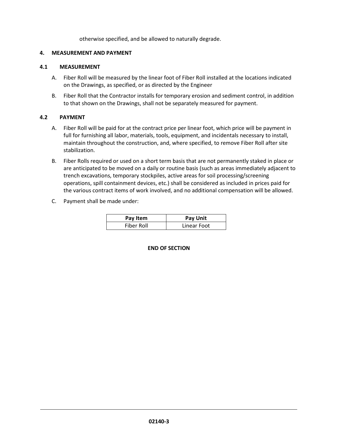otherwise specified, and be allowed to naturally degrade.

#### <span id="page-15-0"></span>**4. MEASUREMENT AND PAYMENT**

#### <span id="page-15-1"></span>**4.1 MEASUREMENT**

- A. Fiber Roll will be measured by the linear foot of Fiber Roll installed at the locations indicated on the Drawings, as specified, or as directed by the Engineer
- B. Fiber Roll that the Contractor installs for temporary erosion and sediment control, in addition to that shown on the Drawings, shall not be separately measured for payment.

#### <span id="page-15-2"></span>**4.2 PAYMENT**

- A. Fiber Roll will be paid for at the contract price per linear foot, which price will be payment in full for furnishing all labor, materials, tools, equipment, and incidentals necessary to install, maintain throughout the construction, and, where specified, to remove Fiber Roll after site stabilization.
- B. Fiber Rolls required or used on a short term basis that are not permanently staked in place or are anticipated to be moved on a daily or routine basis (such as areas immediately adjacent to trench excavations, temporary stockpiles, active areas for soil processing/screening operations, spill containment devices, etc.) shall be considered as included in prices paid for the various contract items of work involved, and no additional compensation will be allowed.
- C. Payment shall be made under:

| Pay Item   | Pay Unit    |
|------------|-------------|
| Fiber Roll | Linear Foot |

#### **END OF SECTION**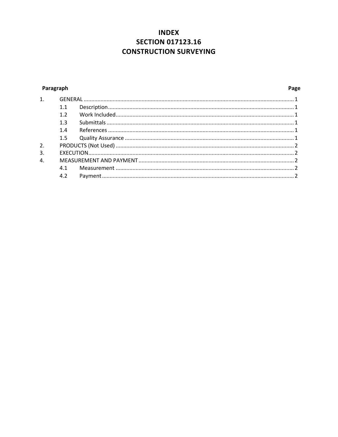### **INDEX SECTION 017123.16 CONSTRUCTION SURVEYING**

#### <span id="page-16-0"></span>Paragraph

#### Page

| $\mathbf{1}$   |     |  |
|----------------|-----|--|
|                |     |  |
|                | 1.2 |  |
|                | 1.3 |  |
|                | 1.4 |  |
|                | 1.5 |  |
| 2.             |     |  |
| 3.             |     |  |
| $\overline{4}$ |     |  |
|                | 4.1 |  |
|                | 4.2 |  |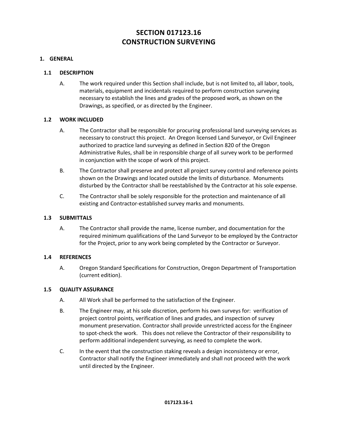### **SECTION 017123.16 CONSTRUCTION SURVEYING**

#### <span id="page-17-1"></span><span id="page-17-0"></span>**1. GENERAL**

#### **1.1 DESCRIPTION**

A. The work required under this Section shall include, but is not limited to, all labor, tools, materials, equipment and incidentals required to perform construction surveying necessary to establish the lines and grades of the proposed work, as shown on the Drawings, as specified, or as directed by the Engineer.

#### <span id="page-17-2"></span>**1.2 WORK INCLUDED**

- A. The Contractor shall be responsible for procuring professional land surveying services as necessary to construct this project. An Oregon licensed Land Surveyor, or Civil Engineer authorized to practice land surveying as defined in Section 820 of the Oregon Administrative Rules, shall be in responsible charge of all survey work to be performed in conjunction with the scope of work of this project.
- B. The Contractor shall preserve and protect all project survey control and reference points shown on the Drawings and located outside the limits of disturbance. Monuments disturbed by the Contractor shall be reestablished by the Contractor at his sole expense.
- C. The Contractor shall be solely responsible for the protection and maintenance of all existing and Contractor-established survey marks and monuments.

#### <span id="page-17-3"></span>**1.3 SUBMITTALS**

A. The Contractor shall provide the name, license number, and documentation for the required minimum qualifications of the Land Surveyor to be employed by the Contractor for the Project, prior to any work being completed by the Contractor or Surveyor.

#### <span id="page-17-4"></span>**1.4 REFERENCES**

A. Oregon Standard Specifications for Construction, Oregon Department of Transportation (current edition).

#### <span id="page-17-5"></span>**1.5 QUALITY ASSURANCE**

- A. All Work shall be performed to the satisfaction of the Engineer.
- B. The Engineer may, at his sole discretion, perform his own surveys for: verification of project control points, verification of lines and grades, and inspection of survey monument preservation. Contractor shall provide unrestricted access for the Engineer to spot-check the work. This does not relieve the Contractor of their responsibility to perform additional independent surveying, as need to complete the work.
- C. In the event that the construction staking reveals a design inconsistency or error, Contractor shall notify the Engineer immediately and shall not proceed with the work until directed by the Engineer.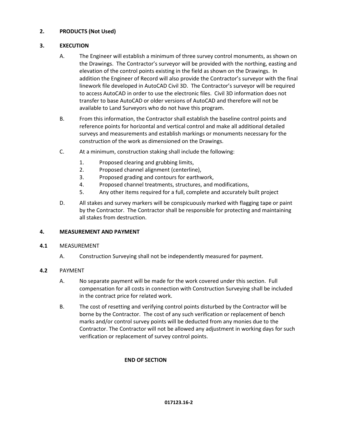#### <span id="page-18-0"></span>**2. PRODUCTS (Not Used)**

#### <span id="page-18-1"></span>**3. EXECUTION**

- A. The Engineer will establish a minimum of three survey control monuments, as shown on the Drawings. The Contractor's surveyor will be provided with the northing, easting and elevation of the control points existing in the field as shown on the Drawings. In addition the Engineer of Record will also provide the Contractor's surveyor with the final linework file developed in AutoCAD Civil 3D. The Contractor's surveyor will be required to access AutoCAD in order to use the electronic files. Civil 3D information does not transfer to base AutoCAD or older versions of AutoCAD and therefore will not be available to Land Surveyors who do not have this program.
- B. From this information, the Contractor shall establish the baseline control points and reference points for horizontal and vertical control and make all additional detailed surveys and measurements and establish markings or monuments necessary for the construction of the work as dimensioned on the Drawings.
- C. At a minimum, construction staking shall include the following:
	- 1. Proposed clearing and grubbing limits,
	- 2. Proposed channel alignment (centerline),
	- 3. Proposed grading and contours for earthwork,
	- 4. Proposed channel treatments, structures, and modifications,
	- 5. Any other items required for a full, complete and accurately built project
- D. All stakes and survey markers will be conspicuously marked with flagging tape or paint by the Contractor. The Contractor shall be responsible for protecting and maintaining all stakes from destruction.

#### **4. MEASUREMENT AND PAYMENT**

#### **4.1** MEASUREMENT

A. Construction Surveying shall not be independently measured for payment.

#### **4.2** PAYMENT

- A. No separate payment will be made for the work covered under this section. Full compensation for all costs in connection with Construction Surveying shall be included in the contract price for related work.
- B. The cost of resetting and verifying control points disturbed by the Contractor will be borne by the Contractor. The cost of any such verification or replacement of bench marks and/or control survey points will be deducted from any monies due to the Contractor. The Contractor will not be allowed any adjustment in working days for such verification or replacement of survey control points.

#### **END OF SECTION**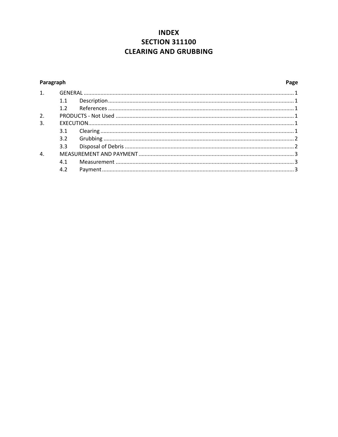### **INDEX SECTION 311100 CLEARING AND GRUBBING**

#### <span id="page-19-0"></span>Paragraph

#### Page

| 1. |     |  |
|----|-----|--|
|    | 1.1 |  |
|    |     |  |
| 2. |     |  |
| 3. |     |  |
|    | 3.1 |  |
|    |     |  |
|    | 3.3 |  |
| 4. |     |  |
|    | 4.1 |  |
|    | 4.2 |  |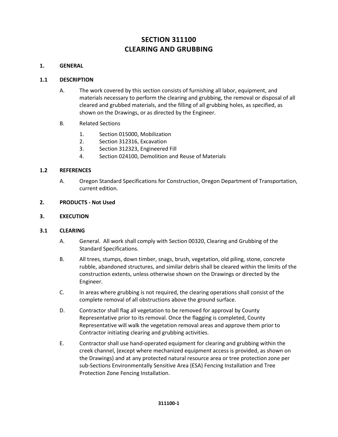### **SECTION 311100 CLEARING AND GRUBBING**

#### <span id="page-20-1"></span><span id="page-20-0"></span>**1. GENERAL**

#### **1.1 DESCRIPTION**

- A. The work covered by this section consists of furnishing all labor, equipment, and materials necessary to perform the clearing and grubbing, the removal or disposal of all cleared and grubbed materials, and the filling of all grubbing holes, as specified, as shown on the Drawings, or as directed by the Engineer.
- B. Related Sections
	- 1. Section 015000, Mobilization
	- 2. Section 312316, Excavation
	- 3. Section 312323, Engineered Fill
	- 4. Section 024100, Demolition and Reuse of Materials

#### <span id="page-20-2"></span>**1.2 REFERENCES**

A. Oregon Standard Specifications for Construction, Oregon Department of Transportation, current edition.

#### <span id="page-20-4"></span><span id="page-20-3"></span>**2. PRODUCTS - Not Used**

#### <span id="page-20-5"></span>**3. EXECUTION**

#### **3.1 CLEARING**

- A. General. All work shall comply with Section 00320, Clearing and Grubbing of the Standard Specifications.
- B. All trees, stumps, down timber, snags, brush, vegetation, old piling, stone, concrete rubble, abandoned structures, and similar debris shall be cleared within the limits of the construction extents, unless otherwise shown on the Drawings or directed by the Engineer.
- C. In areas where grubbing is not required, the clearing operations shall consist of the complete removal of all obstructions above the ground surface.
- D. Contractor shall flag all vegetation to be removed for approval by County Representative prior to its removal. Once the flagging is completed, County Representative will walk the vegetation removal areas and approve them prior to Contractor initiating clearing and grubbing activities.
- E. Contractor shall use hand-operated equipment for clearing and grubbing within the creek channel, (except where mechanized equipment access is provided, as shown on the Drawings) and at any protected natural resource area or tree protection zone per sub-Sections Environmentally Sensitive Area (ESA) Fencing Installation and Tree Protection Zone Fencing Installation.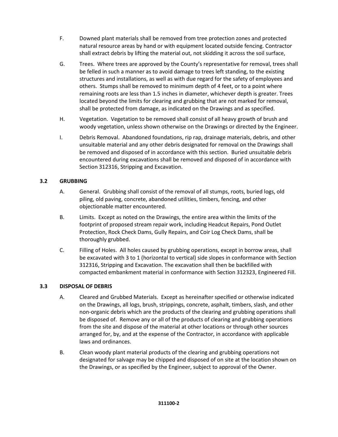- F. Downed plant materials shall be removed from tree protection zones and protected natural resource areas by hand or with equipment located outside fencing. Contractor shall extract debris by lifting the material out, not skidding it across the soil surface,
- G. Trees. Where trees are approved by the County's representative for removal, trees shall be felled in such a manner as to avoid damage to trees left standing, to the existing structures and installations, as well as with due regard for the safety of employees and others. Stumps shall be removed to minimum depth of 4 feet, or to a point where remaining roots are less than 1.5 inches in diameter, whichever depth is greater. Trees located beyond the limits for clearing and grubbing that are not marked for removal, shall be protected from damage, as indicated on the Drawings and as specified.
- H. Vegetation. Vegetation to be removed shall consist of all heavy growth of brush and woody vegetation, unless shown otherwise on the Drawings or directed by the Engineer.
- I. Debris Removal. Abandoned foundations, rip rap, drainage materials, debris, and other unsuitable material and any other debris designated for removal on the Drawings shall be removed and disposed of in accordance with this section. Buried unsuitable debris encountered during excavations shall be removed and disposed of in accordance with Section 312316, Stripping and Excavation.

#### <span id="page-21-0"></span>**3.2 GRUBBING**

- A. General. Grubbing shall consist of the removal of all stumps, roots, buried logs, old piling, old paving, concrete, abandoned utilities, timbers, fencing, and other objectionable matter encountered.
- B. Limits. Except as noted on the Drawings, the entire area within the limits of the footprint of proposed stream repair work, including Headcut Repairs, Pond Outlet Protection, Rock Check Dams, Gully Repairs, and Coir Log Check Dams, shall be thoroughly grubbed.
- C. Filling of Holes. All holes caused by grubbing operations, except in borrow areas, shall be excavated with 3 to 1 (horizontal to vertical) side slopes in conformance with Section 312316, Stripping and Excavation. The excavation shall then be backfilled with compacted embankment material in conformance with Section 312323, Engineered Fill.

#### <span id="page-21-1"></span>**3.3 DISPOSAL OF DEBRIS**

- A. Cleared and Grubbed Materials. Except as hereinafter specified or otherwise indicated on the Drawings, all logs, brush, strippings, concrete, asphalt, timbers, slash, and other non-organic debris which are the products of the clearing and grubbing operations shall be disposed of. Remove any or all of the products of clearing and grubbing operations from the site and dispose of the material at other locations or through other sources arranged for, by, and at the expense of the Contractor, in accordance with applicable laws and ordinances.
- B. Clean woody plant material products of the clearing and grubbing operations not designated for salvage may be chipped and disposed of on site at the location shown on the Drawings, or as specified by the Engineer, subject to approval of the Owner.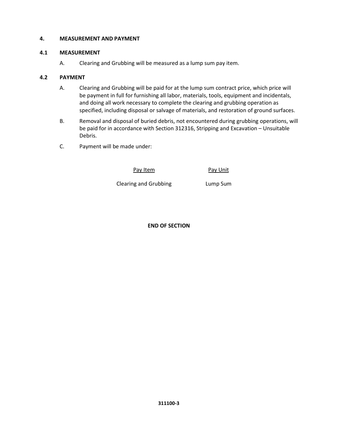#### <span id="page-22-1"></span><span id="page-22-0"></span>**4. MEASUREMENT AND PAYMENT**

#### **4.1 MEASUREMENT**

A. Clearing and Grubbing will be measured as a lump sum pay item.

#### <span id="page-22-2"></span>**4.2 PAYMENT**

- A. Clearing and Grubbing will be paid for at the lump sum contract price, which price will be payment in full for furnishing all labor, materials, tools, equipment and incidentals, and doing all work necessary to complete the clearing and grubbing operation as specified, including disposal or salvage of materials, and restoration of ground surfaces.
- B. Removal and disposal of buried debris, not encountered during grubbing operations, will be paid for in accordance with Section 312316, Stripping and Excavation – Unsuitable Debris.
- C. Payment will be made under:

Pay Item Pay Unit

Clearing and Grubbing **Lump Sum** 

**END OF SECTION**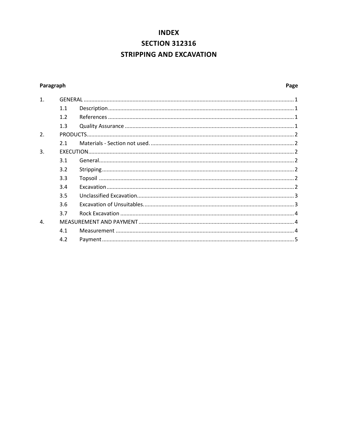## **INDEX SECTION 312316 STRIPPING AND EXCAVATION**

#### <span id="page-23-0"></span>Paragraph

| 1. |     |  |
|----|-----|--|
|    | 1.1 |  |
|    | 1.2 |  |
|    | 1.3 |  |
| 2. |     |  |
|    | 21  |  |
| 3. |     |  |
|    | 3.1 |  |
|    | 3.2 |  |
|    | 3.3 |  |
|    | 3.4 |  |
|    | 3.5 |  |
|    | 3.6 |  |
|    | 3.7 |  |
| 4. |     |  |
|    | 4.1 |  |
|    | 4.2 |  |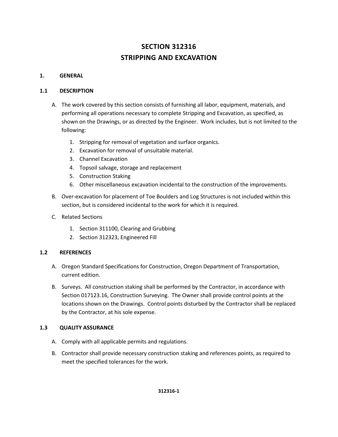### **SECTION 312316 STRIPPING AND EXCAVATION**

#### <span id="page-24-0"></span>**1. GENERAL**

#### <span id="page-24-1"></span>**1.1 DESCRIPTION**

- A. The work covered by this section consists of furnishing all labor, equipment, materials, and performing all operations necessary to complete Stripping and Excavation, as specified, as shown on the Drawings, or as directed by the Engineer. Work includes, but is not limited to the following:
	- 1. Stripping for removal of vegetation and surface organics.
	- 2. Excavation for removal of unsuitable material.
	- 3. Channel Excavation
	- 4. Topsoil salvage, storage and replacement
	- 5. Construction Staking
	- 6. Other miscellaneous excavation incidental to the construction of the improvements.
- B. Over-excavation for placement of Toe Boulders and Log Structures is not included within this section, but is considered incidental to the work for which it is required.
- C. Related Sections
	- 1. Section 311100, Clearing and Grubbing
	- 2. Section 312323, Engineered Fill

#### <span id="page-24-2"></span>**1.2 REFERENCES**

- A. Oregon Standard Specifications for Construction, Oregon Department of Transportation, current edition.
- B. Surveys. All construction staking shall be performed by the Contractor, in accordance with Section 017123.16, Construction Surveying. The Owner shall provide control points at the locations shown on the Drawings. Control points disturbed by the Contractor shall be replaced by the Contractor, at his sole expense.

#### <span id="page-24-3"></span>**1.3 QUALITY ASSURANCE**

- A. Comply with all applicable permits and regulations.
- B. Contractor shall provide necessary construction staking and references points, as required to meet the specified tolerances for the work.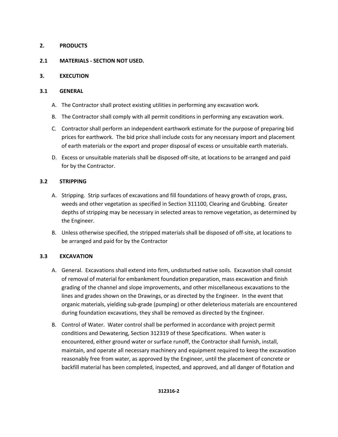#### <span id="page-25-5"></span><span id="page-25-0"></span>**2. PRODUCTS**

#### <span id="page-25-1"></span>**2.1 MATERIALS - SECTION NOT USED.**

#### <span id="page-25-2"></span>**3. EXECUTION**

#### <span id="page-25-3"></span>**3.1 GENERAL**

- A. The Contractor shall protect existing utilities in performing any excavation work.
- B. The Contractor shall comply with all permit conditions in performing any excavation work.
- C. Contractor shall perform an independent earthwork estimate for the purpose of preparing bid prices for earthwork. The bid price shall include costs for any necessary import and placement of earth materials or the export and proper disposal of excess or unsuitable earth materials.
- D. Excess or unsuitable materials shall be disposed off-site, at locations to be arranged and paid for by the Contractor.

#### <span id="page-25-4"></span>**3.2 STRIPPING**

- A. Stripping. Strip surfaces of excavations and fill foundations of heavy growth of crops, grass, weeds and other vegetation as specified in Section 311100, Clearing and Grubbing. Greater depths of stripping may be necessary in selected areas to remove vegetation, as determined by the Engineer.
- B. Unless otherwise specified, the stripped materials shall be disposed of off-site, at locations to be arranged and paid for by the Contractor

#### <span id="page-25-6"></span>**3.3 EXCAVATION**

- A. General. Excavations shall extend into firm, undisturbed native soils. Excavation shall consist of removal of material for embankment foundation preparation, mass excavation and finish grading of the channel and slope improvements, and other miscellaneous excavations to the lines and grades shown on the Drawings, or as directed by the Engineer. In the event that organic materials, yielding sub-grade (pumping) or other deleterious materials are encountered during foundation excavations, they shall be removed as directed by the Engineer.
- B. Control of Water. Water control shall be performed in accordance with project permit conditions and Dewatering, Section 312319 of these Specifications. When water is encountered, either ground water or surface runoff, the Contractor shall furnish, install, maintain, and operate all necessary machinery and equipment required to keep the excavation reasonably free from water, as approved by the Engineer, until the placement of concrete or backfill material has been completed, inspected, and approved, and all danger of flotation and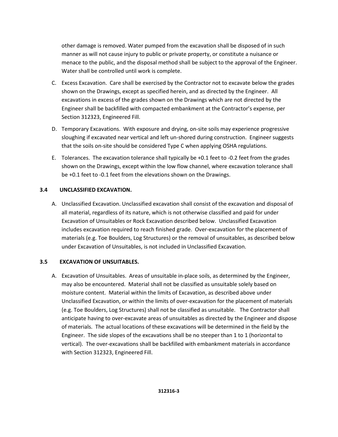other damage is removed. Water pumped from the excavation shall be disposed of in such manner as will not cause injury to public or private property, or constitute a nuisance or menace to the public, and the disposal method shall be subject to the approval of the Engineer. Water shall be controlled until work is complete.

- C. Excess Excavation. Care shall be exercised by the Contractor not to excavate below the grades shown on the Drawings, except as specified herein, and as directed by the Engineer. All excavations in excess of the grades shown on the Drawings which are not directed by the Engineer shall be backfilled with compacted embankment at the Contractor's expense, per Section 312323, Engineered Fill.
- D. Temporary Excavations. With exposure and drying, on-site soils may experience progressive sloughing if excavated near vertical and left un-shored during construction. Engineer suggests that the soils on-site should be considered Type C when applying OSHA regulations.
- E. Tolerances. The excavation tolerance shall typically be +0.1 feet to -0.2 feet from the grades shown on the Drawings, except within the low flow channel, where excavation tolerance shall be +0.1 feet to -0.1 feet from the elevations shown on the Drawings.

#### <span id="page-26-0"></span>**3.4 UNCLASSIFIED EXCAVATION.**

A. Unclassified Excavation. Unclassified excavation shall consist of the excavation and disposal of all material, regardless of its nature, which is not otherwise classified and paid for under Excavation of Unsuitables or Rock Excavation described below. Unclassified Excavation includes excavation required to reach finished grade. Over-excavation for the placement of materials (e.g. Toe Boulders, Log Structures) or the removal of unsuitables, as described below under Excavation of Unsuitables, is not included in Unclassified Excavation.

#### <span id="page-26-1"></span>**3.5 EXCAVATION OF UNSUITABLES.**

A. Excavation of Unsuitables. Areas of unsuitable in-place soils, as determined by the Engineer, may also be encountered. Material shall not be classified as unsuitable solely based on moisture content. Material within the limits of Excavation, as described above under Unclassified Excavation, or within the limits of over-excavation for the placement of materials (e.g. Toe Boulders, Log Structures) shall not be classified as unsuitable. The Contractor shall anticipate having to over-excavate areas of unsuitables as directed by the Engineer and dispose of materials. The actual locations of these excavations will be determined in the field by the Engineer. The side slopes of the excavations shall be no steeper than 1 to 1 (horizontal to vertical). The over-excavations shall be backfilled with embankment materials in accordance with Section 312323, Engineered Fill.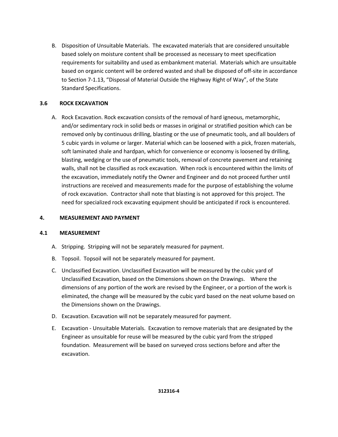B. Disposition of Unsuitable Materials. The excavated materials that are considered unsuitable based solely on moisture content shall be processed as necessary to meet specification requirements for suitability and used as embankment material. Materials which are unsuitable based on organic content will be ordered wasted and shall be disposed of off-site in accordance to Section 7-1.13, "Disposal of Material Outside the Highway Right of Way", of the State Standard Specifications.

#### <span id="page-27-0"></span>**3.6 ROCK EXCAVATION**

A. Rock Excavation. Rock excavation consists of the removal of hard igneous, metamorphic, and/or sedimentary rock in solid beds or masses in original or stratified position which can be removed only by continuous drilling, blasting or the use of pneumatic tools, and all boulders of 5 cubic yards in volume or larger. Material which can be loosened with a pick, frozen materials, soft laminated shale and hardpan, which for convenience or economy is loosened by drilling, blasting, wedging or the use of pneumatic tools, removal of concrete pavement and retaining walls, shall not be classified as rock excavation. When rock is encountered within the limits of the excavation, immediately notify the Owner and Engineer and do not proceed further until instructions are received and measurements made for the purpose of establishing the volume of rock excavation. Contractor shall note that blasting is not approved for this project. The need for specialized rock excavating equipment should be anticipated if rock is encountered.

#### <span id="page-27-1"></span>**4. MEASUREMENT AND PAYMENT**

#### <span id="page-27-2"></span>**4.1 MEASUREMENT**

- A. Stripping. Stripping will not be separately measured for payment.
- B. Topsoil. Topsoil will not be separately measured for payment.
- C. Unclassified Excavation. Unclassified Excavation will be measured by the cubic yard of Unclassified Excavation, based on the Dimensions shown on the Drawings. Where the dimensions of any portion of the work are revised by the Engineer, or a portion of the work is eliminated, the change will be measured by the cubic yard based on the neat volume based on the Dimensions shown on the Drawings.
- D. Excavation. Excavation will not be separately measured for payment.
- E. Excavation Unsuitable Materials. Excavation to remove materials that are designated by the Engineer as unsuitable for reuse will be measured by the cubic yard from the stripped foundation. Measurement will be based on surveyed cross sections before and after the excavation.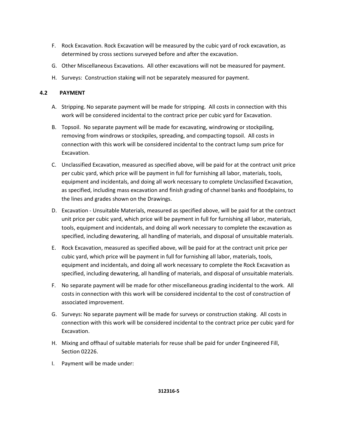- F. Rock Excavation. Rock Excavation will be measured by the cubic yard of rock excavation, as determined by cross sections surveyed before and after the excavation.
- G. Other Miscellaneous Excavations. All other excavations will not be measured for payment.
- H. Surveys: Construction staking will not be separately measured for payment.

#### **4.2 PAYMENT**

- A. Stripping. No separate payment will be made for stripping. All costs in connection with this work will be considered incidental to the contract price per cubic yard for Excavation.
- B. Topsoil. No separate payment will be made for excavating, windrowing or stockpiling, removing from windrows or stockpiles, spreading, and compacting topsoil. All costs in connection with this work will be considered incidental to the contract lump sum price for Excavation.
- C. Unclassified Excavation, measured as specified above, will be paid for at the contract unit price per cubic yard, which price will be payment in full for furnishing all labor, materials, tools, equipment and incidentals, and doing all work necessary to complete Unclassified Excavation, as specified, including mass excavation and finish grading of channel banks and floodplains, to the lines and grades shown on the Drawings.
- D. Excavation Unsuitable Materials, measured as specified above, will be paid for at the contract unit price per cubic yard, which price will be payment in full for furnishing all labor, materials, tools, equipment and incidentals, and doing all work necessary to complete the excavation as specified, including dewatering, all handling of materials, and disposal of unsuitable materials.
- E. Rock Excavation, measured as specified above, will be paid for at the contract unit price per cubic yard, which price will be payment in full for furnishing all labor, materials, tools, equipment and incidentals, and doing all work necessary to complete the Rock Excavation as specified, including dewatering, all handling of materials, and disposal of unsuitable materials.
- F. No separate payment will be made for other miscellaneous grading incidental to the work. All costs in connection with this work will be considered incidental to the cost of construction of associated improvement.
- G. Surveys: No separate payment will be made for surveys or construction staking. All costs in connection with this work will be considered incidental to the contract price per cubic yard for Excavation.
- H. Mixing and offhaul of suitable materials for reuse shall be paid for under Engineered Fill, Section 02226.
- I. Payment will be made under: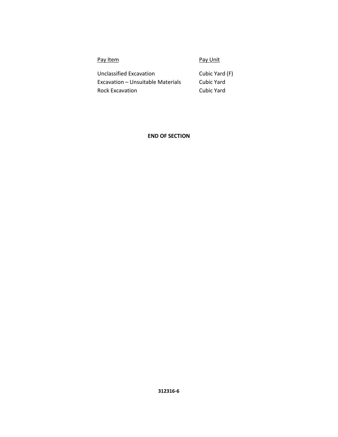| Pay Item                          | Pay Unit       |
|-----------------------------------|----------------|
| Unclassified Excavation           | Cubic Yard (F) |
| Excavation – Unsuitable Materials | Cubic Yard     |
| <b>Rock Excavation</b>            | Cubic Yard     |

#### **END OF SECTION**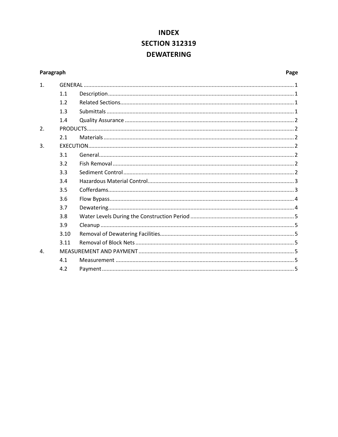### **INDEX SECTION 312319 DEWATERING**

#### <span id="page-30-0"></span>Paragraph

#### Page

| $\mathbf{1}$ . |      |  |
|----------------|------|--|
|                | 1.1  |  |
|                | 1.2  |  |
|                | 1.3  |  |
|                | 1.4  |  |
| 2.             |      |  |
|                | 2.1  |  |
| 3.             |      |  |
|                | 3.1  |  |
|                | 3.2  |  |
|                | 3.3  |  |
|                | 3.4  |  |
|                | 3.5  |  |
|                | 3.6  |  |
|                | 3.7  |  |
|                | 3.8  |  |
|                | 3.9  |  |
|                | 3.10 |  |
|                | 3.11 |  |
| $\mathbf{4}$ . |      |  |
|                | 4.1  |  |
|                | 4.2  |  |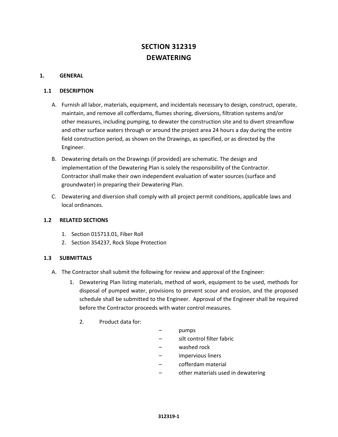### **SECTION 312319 DEWATERING**

#### <span id="page-31-0"></span>**1. GENERAL**

#### <span id="page-31-1"></span>**1.1 DESCRIPTION**

- A. Furnish all labor, materials, equipment, and incidentals necessary to design, construct, operate, maintain, and remove all cofferdams, flumes shoring, diversions, filtration systems and/or other measures, including pumping, to dewater the construction site and to divert streamflow and other surface waters through or around the project area 24 hours a day during the entire field construction period, as shown on the Drawings, as specified, or as directed by the Engineer.
- B. Dewatering details on the Drawings (if provided) are schematic. The design and implementation of the Dewatering Plan is solely the responsibility of the Contractor. Contractor shall make their own independent evaluation of water sources (surface and groundwater) in preparing their Dewatering Plan.
- C. Dewatering and diversion shall comply with all project permit conditions, applicable laws and local ordinances.

#### <span id="page-31-2"></span>**1.2 RELATED SECTIONS**

- 1. Section 015713.01, Fiber Roll
- 2. Section 354237, Rock Slope Protection

#### <span id="page-31-3"></span>**1.3 SUBMITTALS**

- A. The Contractor shall submit the following for review and approval of the Engineer:
	- 1. Dewatering Plan listing materials, method of work, equipment to be used, methods for disposal of pumped water, provisions to prevent scour and erosion, and the proposed schedule shall be submitted to the Engineer. Approval of the Engineer shall be required before the Contractor proceeds with water control measures.
		- 2. Product data for:
- pumps
- silt control filter fabric
- washed rock
- impervious liners
- cofferdam material
- other materials used in dewatering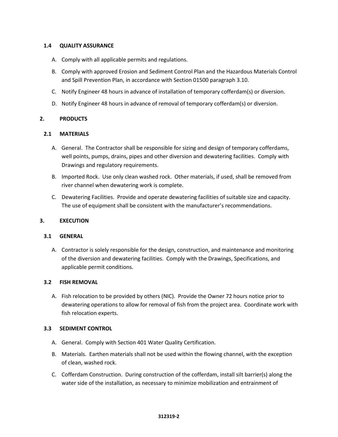#### <span id="page-32-0"></span>**1.4 QUALITY ASSURANCE**

- A. Comply with all applicable permits and regulations.
- B. Comply with approved Erosion and Sediment Control Plan and the Hazardous Materials Control and Spill Prevention Plan, in accordance with Section 01500 paragraph 3.10.
- C. Notify Engineer 48 hours in advance of installation of temporary cofferdam(s) or diversion.
- D. Notify Engineer 48 hours in advance of removal of temporary cofferdam(s) or diversion.

#### <span id="page-32-1"></span>**2. PRODUCTS**

#### <span id="page-32-2"></span>**2.1 MATERIALS**

- A. General. The Contractor shall be responsible for sizing and design of temporary cofferdams, well points, pumps, drains, pipes and other diversion and dewatering facilities. Comply with Drawings and regulatory requirements.
- B. Imported Rock. Use only clean washed rock. Other materials, if used, shall be removed from river channel when dewatering work is complete.
- C. Dewatering Facilities. Provide and operate dewatering facilities of suitable size and capacity. The use of equipment shall be consistent with the manufacturer's recommendations.

#### <span id="page-32-3"></span>**3. EXECUTION**

#### <span id="page-32-4"></span>**3.1 GENERAL**

A. Contractor is solely responsible for the design, construction, and maintenance and monitoring of the diversion and dewatering facilities. Comply with the Drawings, Specifications, and applicable permit conditions.

#### <span id="page-32-5"></span>**3.2 FISH REMOVAL**

A. Fish relocation to be provided by others (NIC). Provide the Owner 72 hours notice prior to dewatering operations to allow for removal of fish from the project area. Coordinate work with fish relocation experts.

#### <span id="page-32-6"></span>**3.3 SEDIMENT CONTROL**

- A. General. Comply with Section 401 Water Quality Certification.
- B. Materials. Earthen materials shall not be used within the flowing channel, with the exception of clean, washed rock.
- C. Cofferdam Construction. During construction of the cofferdam, install silt barrier(s) along the water side of the installation, as necessary to minimize mobilization and entrainment of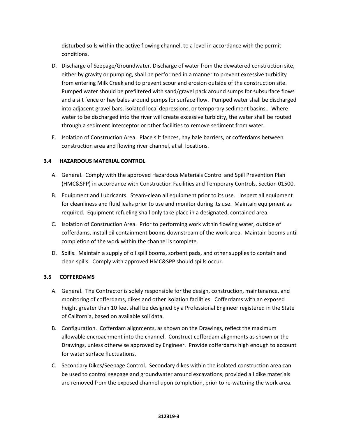disturbed soils within the active flowing channel, to a level in accordance with the permit conditions.

- D. Discharge of Seepage/Groundwater. Discharge of water from the dewatered construction site, either by gravity or pumping, shall be performed in a manner to prevent excessive turbidity from entering Milk Creek and to prevent scour and erosion outside of the construction site. Pumped water should be prefiltered with sand/gravel pack around sumps for subsurface flows and a silt fence or hay bales around pumps for surface flow. Pumped water shall be discharged into adjacent gravel bars, isolated local depressions, or temporary sediment basins.. Where water to be discharged into the river will create excessive turbidity, the water shall be routed through a sediment interceptor or other facilities to remove sediment from water.
- E. Isolation of Construction Area. Place silt fences, hay bale barriers, or cofferdams between construction area and flowing river channel, at all locations.

#### <span id="page-33-0"></span>**3.4 HAZARDOUS MATERIAL CONTROL**

- A. General. Comply with the approved Hazardous Materials Control and Spill Prevention Plan (HMC&SPP) in accordance with Construction Facilities and Temporary Controls, Section 01500.
- B. Equipment and Lubricants. Steam-clean all equipment prior to its use. Inspect all equipment for cleanliness and fluid leaks prior to use and monitor during its use. Maintain equipment as required. Equipment refueling shall only take place in a designated, contained area.
- C. Isolation of Construction Area. Prior to performing work within flowing water, outside of cofferdams, install oil containment booms downstream of the work area. Maintain booms until completion of the work within the channel is complete.
- D. Spills. Maintain a supply of oil spill booms, sorbent pads, and other supplies to contain and clean spills. Comply with approved HMC&SPP should spills occur.

#### <span id="page-33-1"></span>**3.5 COFFERDAMS**

- A. General. The Contractor is solely responsible for the design, construction, maintenance, and monitoring of cofferdams, dikes and other isolation facilities. Cofferdams with an exposed height greater than 10 feet shall be designed by a Professional Engineer registered in the State of California, based on available soil data.
- B. Configuration. Cofferdam alignments, as shown on the Drawings, reflect the maximum allowable encroachment into the channel. Construct cofferdam alignments as shown or the Drawings, unless otherwise approved by Engineer. Provide cofferdams high enough to account for water surface fluctuations.
- C. Secondary Dikes/Seepage Control. Secondary dikes within the isolated construction area can be used to control seepage and groundwater around excavations, provided all dike materials are removed from the exposed channel upon completion, prior to re-watering the work area.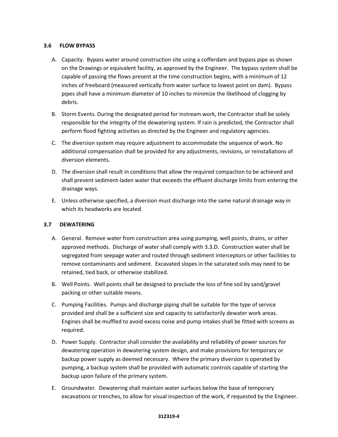#### <span id="page-34-0"></span>**3.6 FLOW BYPASS**

- A. Capacity. Bypass water around construction site using a cofferdam and bypass pipe as shown on the Drawings or equivalent facility, as approved by the Engineer. The bypass system shall be capable of passing the flows present at the time construction begins, with a minimum of 12 inches of freeboard (measured vertically from water surface to lowest point on dam). Bypass pipes shall have a minimum diameter of 10 inches to minimize the likelihood of clogging by debris.
- B. Storm Events. During the designated period for instream work, the Contractor shall be solely responsible for the integrity of the dewatering system. If rain is predicted, the Contractor shall perform flood fighting activities as directed by the Engineer and regulatory agencies.
- C. The diversion system may require adjustment to accommodate the sequence of work. No additional compensation shall be provided for any adjustments, revisions, or reinstallations of diversion elements.
- D. The diversion shall result in conditions that allow the required compaction to be achieved and shall prevent sediment-laden water that exceeds the effluent discharge limits from entering the drainage ways.
- E. Unless otherwise specified, a diversion must discharge into the same natural drainage way in which its headworks are located.

#### <span id="page-34-1"></span>**3.7 DEWATERING**

- A. General. Remove water from construction area using pumping, well points, drains, or other approved methods. Discharge of water shall comply with 3.3.D. Construction water shall be segregated from seepage water and routed through sediment interceptors or other facilities to remove contaminants and sediment. Excavated slopes in the saturated soils may need to be retained, tied back, or otherwise stabilized.
- B. Well Points. Well points shall be designed to preclude the loss of fine soil by sand/gravel packing or other suitable means.
- C. Pumping Facilities. Pumps and discharge piping shall be suitable for the type of service provided and shall be a sufficient size and capacity to satisfactorily dewater work areas. Engines shall be muffled to avoid excess noise and pump intakes shall be fitted with screens as required.
- D. Power Supply. Contractor shall consider the availability and reliability of power sources for dewatering operation in dewatering system design, and make provisions for temporary or backup power supply as deemed necessary. Where the primary diversion is operated by pumping, a backup system shall be provided with automatic controls capable of starting the backup upon failure of the primary system.
- E. Groundwater. Dewatering shall maintain water surfaces below the base of temporary excavations or trenches, to allow for visual inspection of the work, if requested by the Engineer.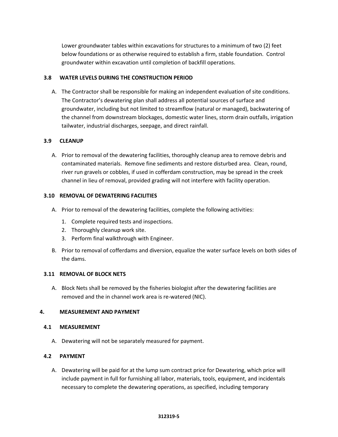Lower groundwater tables within excavations for structures to a minimum of two (2) feet below foundations or as otherwise required to establish a firm, stable foundation. Control groundwater within excavation until completion of backfill operations.

#### <span id="page-35-0"></span>**3.8 WATER LEVELS DURING THE CONSTRUCTION PERIOD**

A. The Contractor shall be responsible for making an independent evaluation of site conditions. The Contractor's dewatering plan shall address all potential sources of surface and groundwater, including but not limited to streamflow (natural or managed), backwatering of the channel from downstream blockages, domestic water lines, storm drain outfalls, irrigation tailwater, industrial discharges, seepage, and direct rainfall.

#### <span id="page-35-1"></span>**3.9 CLEANUP**

A. Prior to removal of the dewatering facilities, thoroughly cleanup area to remove debris and contaminated materials. Remove fine sediments and restore disturbed area. Clean, round, river run gravels or cobbles, if used in cofferdam construction, may be spread in the creek channel in lieu of removal, provided grading will not interfere with facility operation.

#### <span id="page-35-2"></span>**3.10 REMOVAL OF DEWATERING FACILITIES**

- A. Prior to removal of the dewatering facilities, complete the following activities:
	- 1. Complete required tests and inspections.
	- 2. Thoroughly cleanup work site.
	- 3. Perform final walkthrough with Engineer.
- B. Prior to removal of cofferdams and diversion, equalize the water surface levels on both sides of the dams.

#### <span id="page-35-3"></span>**3.11 REMOVAL OF BLOCK NETS**

A. Block Nets shall be removed by the fisheries biologist after the dewatering facilities are removed and the in channel work area is re-watered (NIC).

#### <span id="page-35-4"></span>**4. MEASUREMENT AND PAYMENT**

#### <span id="page-35-5"></span>**4.1 MEASUREMENT**

A. Dewatering will not be separately measured for payment.

#### **4.2 PAYMENT**

A. Dewatering will be paid for at the lump sum contract price for Dewatering, which price will include payment in full for furnishing all labor, materials, tools, equipment, and incidentals necessary to complete the dewatering operations, as specified, including temporary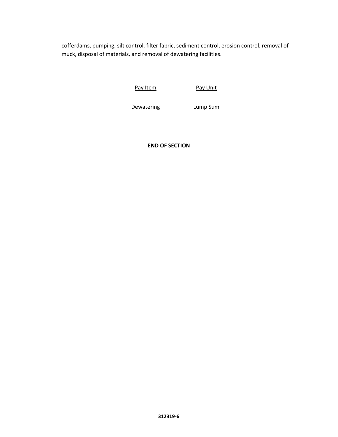cofferdams, pumping, silt control, filter fabric, sediment control, erosion control, removal of muck, disposal of materials, and removal of dewatering facilities.

Pay Item Pay Unit

Dewatering Lump Sum

**END OF SECTION**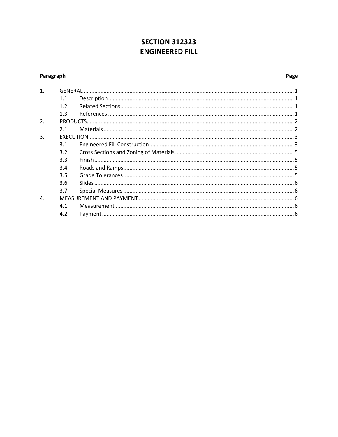### **SECTION 312323 ENGINEERED FILL**

#### <span id="page-37-0"></span>Paragraph

#### Page

| 1.           |     |  |
|--------------|-----|--|
|              | 1.1 |  |
|              | 1.2 |  |
|              | 1.3 |  |
| 2.           |     |  |
|              | 2.1 |  |
| 3.           |     |  |
|              | 3.1 |  |
|              | 3.2 |  |
|              | 3.3 |  |
|              | 3.4 |  |
|              | 3.5 |  |
|              | 3.6 |  |
|              | 3.7 |  |
| $\mathbf{4}$ |     |  |
|              | 4.1 |  |
|              | 4.2 |  |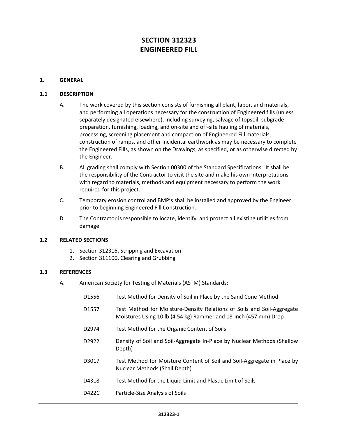### **SECTION 312323 ENGINEERED FILL**

#### <span id="page-38-0"></span>**1. GENERAL**

#### <span id="page-38-1"></span>**1.1 DESCRIPTION**

- A. The work covered by this section consists of furnishing all plant, labor, and materials, and performing all operations necessary for the construction of Engineered fills (unless separately designated elsewhere), including surveying, salvage of topsoil, subgrade preparation, furnishing, loading, and on-site and off-site hauling of materials, processing, screening placement and compaction of Engineered Fill materials, construction of ramps, and other incidental earthwork as may be necessary to complete the Engineered Fills, as shown on the Drawings, as specified, or as otherwise directed by the Engineer.
- B. All grading shall comply with Section 00300 of the Standard Specifications. It shall be the responsibility of the Contractor to visit the site and make his own interpretations with regard to materials, methods and equipment necessary to perform the work required for this project.
- C. Temporary erosion control and BMP's shall be installed and approved by the Engineer prior to beginning Engineered Fill Construction.
- D. The Contractor is responsible to locate, identify, and protect all existing utilities from damage.

#### <span id="page-38-2"></span>**1.2 RELATED SECTIONS**

- 1. Section 312316, Stripping and Excavation
- 2. Section 311100, Clearing and Grubbing

#### <span id="page-38-3"></span>**1.3 REFERENCES**

A. American Society for Testing of Materials (ASTM) Standards:

| D <sub>1556</sub> | Test Method for Density of Soil in Place by the Sand Cone Method                                                                           |
|-------------------|--------------------------------------------------------------------------------------------------------------------------------------------|
| D <sub>1557</sub> | Test Method for Moisture-Density Relations of Soils and Soil-Aggregate<br>Moistures Using 10 lb (4.54 kg) Rammer and 18-inch (457 mm) Drop |
| D2974             | Test Method for the Organic Content of Soils                                                                                               |
| D <sub>2922</sub> | Density of Soil and Soil-Aggregate In-Place by Nuclear Methods (Shallow<br>Depth)                                                          |
| D3017             | Test Method for Moisture Content of Soil and Soil-Aggregate in Place by<br>Nuclear Methods (Shall Depth)                                   |
| D4318             | Test Method for the Liquid Limit and Plastic Limit of Soils                                                                                |
| D422C             | Particle-Size Analysis of Soils                                                                                                            |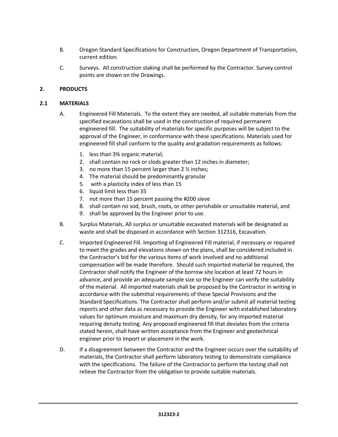- B. Oregon Standard Specifications for Construction, Oregon Department of Transportation, current edition.
- C. Surveys. All construction staking shall be performed by the Contractor. Survey control points are shown on the Drawings.

#### <span id="page-39-0"></span>**2. PRODUCTS**

#### <span id="page-39-1"></span>**2.1 MATERIALS**

- A. Engineered Fill Materials. To the extent they are needed, all suitable materials from the specified excavations shall be used in the construction of required permanent engineered fill. The suitability of materials for specific purposes will be subject to the approval of the Engineer, in conformance with these specifications. Materials used for engineered fill shall conform to the quality and gradation requirements as follows:
	- 1. less than 3% organic material;
	- 2. shall contain no rock or clods greater than 12 inches in diameter;
	- 3. no more than 15 percent larger than 2 ½ inches;
	- 4. The material should be predominantly granular
	- 5. with a plasticity index of less than 15
	- 6. liquid limit less than 35
	- 7. not more than 15 percent passing the #200 sieve
	- 8. shall contain no sod, brush, roots, or other perishable or unsuitable material, and
	- 9. shall be approved by the Engineer prior to use.
- B. Surplus Materials. All surplus or unsuitable excavated materials will be designated as waste and shall be disposed in accordance with Section 312316, Excavation.
- C. Imported Engineered Fill. Importing of Engineered Fill material, if necessary or required to meet the grades and elevations shown on the plans, shall be considered included in the Contractor's bid for the various items of work involved and no additional compensation will be made therefore. Should such imported material be required, the Contractor shall notify the Engineer of the borrow site location at least 72 hours in advance, and provide an adequate sample size so the Engineer can verify the suitability of the material. All imported materials shall be proposed by the Contractor in writing in accordance with the submittal requirements of these Special Provisions and the Standard Specifications. The Contractor shall perform and/or submit all material testing reports and other data as necessary to provide the Engineer with established laboratory values for optimum moisture and maximum dry density, for any imported material requiring density testing. Any proposed engineered fill that deviates from the criteria stated herein, shall have written acceptance from the Engineer and geotechnical engineer prior to import or placement in the work.
- D. If a disagreement between the Contractor and the Engineer occurs over the suitability of materials, the Contractor shall perform laboratory testing to demonstrate compliance with the specifications. The failure of the Contractor to perform the testing shall not relieve the Contractor from the obligation to provide suitable materials.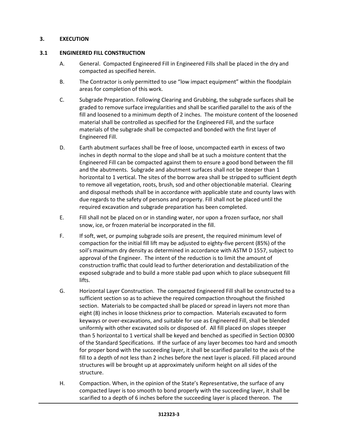#### <span id="page-40-1"></span><span id="page-40-0"></span>**3. EXECUTION**

#### **3.1 ENGINEERED FILL CONSTRUCTION**

- A. General. Compacted Engineered Fill in Engineered Fills shall be placed in the dry and compacted as specified herein.
- B. The Contractor is only permitted to use "low impact equipment" within the floodplain areas for completion of this work.
- C. Subgrade Preparation. Following Clearing and Grubbing, the subgrade surfaces shall be graded to remove surface irregularities and shall be scarified parallel to the axis of the fill and loosened to a minimum depth of 2 inches. The moisture content of the loosened material shall be controlled as specified for the Engineered Fill, and the surface materials of the subgrade shall be compacted and bonded with the first layer of Engineered Fill.
- D. Earth abutment surfaces shall be free of loose, uncompacted earth in excess of two inches in depth normal to the slope and shall be at such a moisture content that the Engineered Fill can be compacted against them to ensure a good bond between the fill and the abutments. Subgrade and abutment surfaces shall not be steeper than 1 horizontal to 1 vertical. The sites of the borrow area shall be stripped to sufficient depth to remove all vegetation, roots, brush, sod and other objectionable material. Clearing and disposal methods shall be in accordance with applicable state and county laws with due regards to the safety of persons and property. Fill shall not be placed until the required excavation and subgrade preparation has been completed.
- E. Fill shall not be placed on or in standing water, nor upon a frozen surface, nor shall snow, ice, or frozen material be incorporated in the fill.
- F. If soft, wet, or pumping subgrade soils are present, the required minimum level of compaction for the initial fill lift may be adjusted to eighty-five percent (85%) of the soil's maximum dry density as determined in accordance with ASTM D 1557, subject to approval of the Engineer. The intent of the reduction is to limit the amount of construction traffic that could lead to further deterioration and destabilization of the exposed subgrade and to build a more stable pad upon which to place subsequent fill lifts.
- G. Horizontal Layer Construction. The compacted Engineered Fill shall be constructed to a sufficient section so as to achieve the required compaction throughout the finished section. Materials to be compacted shall be placed or spread in layers not more than eight (8) inches in loose thickness prior to compaction. Materials excavated to form keyways or over-excavations, and suitable for use as Engineered Fill, shall be blended uniformly with other excavated soils or disposed of. All fill placed on slopes steeper than 5 horizontal to 1 vertical shall be keyed and benched as specified in Section 00300 of the Standard Specifications. If the surface of any layer becomes too hard and smooth for proper bond with the succeeding layer, it shall be scarified parallel to the axis of the fill to a depth of not less than 2 inches before the next layer is placed. Fill placed around structures will be brought up at approximately uniform height on all sides of the structure.
- H. Compaction. When, in the opinion of the State's Representative, the surface of any compacted layer is too smooth to bond properly with the succeeding layer, it shall be scarified to a depth of 6 inches before the succeeding layer is placed thereon. The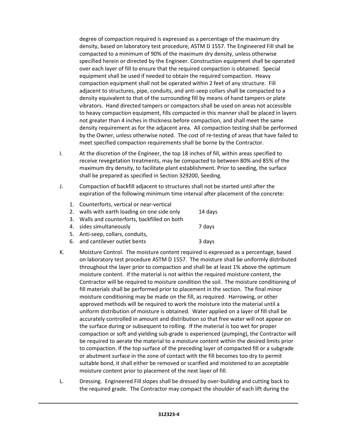degree of compaction required is expressed as a percentage of the maximum dry density, based on laboratory test procedure, ASTM D 1557. The Engineered Fill shall be compacted to a minimum of 90% of the maximum dry density, unless otherwise specified herein or directed by the Engineer. Construction equipment shall be operated over each layer of fill to ensure that the required compaction is obtained. Special equipment shall be used if needed to obtain the required compaction. Heavy compaction equipment shall not be operated within 2 feet of any structure. Fill adjacent to structures, pipe, conduits, and anti-seep collars shall be compacted to a density equivalent to that of the surrounding fill by means of hand tampers or plate vibrators. Hand directed tampers or compactors shall be used on areas not accessible to heavy compaction equipment, fills compacted in this manner shall be placed in layers not greater than 4 inches in thickness before compaction, and shall meet the same density requirement as for the adjacent area. All compaction testing shall be performed by the Owner, unless otherwise noted. The cost of re-testing of areas that have failed to meet specified compaction requirements shall be borne by the Contractor.

- I. At the discretion of the Engineer, the top 18 inches of fill, within areas specified to receive revegetation treatments, may be compacted to between 80% and 85% of the maximum dry density, to facilitate plant establishment. Prior to seeding, the surface shall be prepared as specified in Section 329200, Seeding.
- J. Compaction of backfill adjacent to structures shall not be started until after the expiration of the following minimum time interval after placement of the concrete:
	- 1. Counterforts, vertical or near-vertical 2. walls with earth loading on one side only 14 days 3. Walls and counterforts, backfilled on both 4. sides simultaneously **7** days 5. Anti-seep, collars, conduits, 6. and cantilever outlet bents 3 days
- K. Moisture Control. The moisture content required is expressed as a percentage, based on laboratory test procedure ASTM D 1557. The moisture shall be uniformly distributed throughout the layer prior to compaction and shall be at least 1% above the optimum moisture content. If the material is not within the required moisture content, the Contractor will be required to moisture condition the soil. The moisture conditioning of fill materials shall be performed prior to placement in the section. The final minor moisture conditioning may be made on the fill, as required. Harrowing, or other approved methods will be required to work the moisture into the material until a uniform distribution of moisture is obtained. Water applied on a layer of fill shall be accurately controlled in amount and distribution so that free water will not appear on the surface during or subsequent to rolling. If the material is too wet for proper compaction or soft and yielding sub-grade is experienced (pumping), the Contractor will be required to aerate the material to a moisture content within the desired limits prior to compaction. If the top surface of the preceding layer of compacted fill or a subgrade or abutment surface in the zone of contact with the fill becomes too dry to permit suitable bond, it shall either be removed or scarified and moistened to an acceptable moisture content prior to placement of the next layer of fill.
- L. Dressing. Engineered Fill slopes shall be dressed by over-building and cutting back to the required grade. The Contractor may compact the shoulder of each lift during the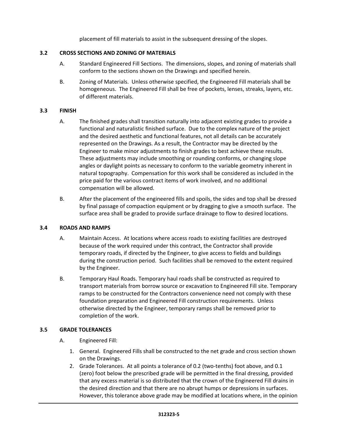placement of fill materials to assist in the subsequent dressing of the slopes.

#### <span id="page-42-0"></span>**3.2 CROSS SECTIONS AND ZONING OF MATERIALS**

- A. Standard Engineered Fill Sections. The dimensions, slopes, and zoning of materials shall conform to the sections shown on the Drawings and specified herein.
- B. Zoning of Materials. Unless otherwise specified, the Engineered Fill materials shall be homogeneous. The Engineered Fill shall be free of pockets, lenses, streaks, layers, etc. of different materials.

#### <span id="page-42-1"></span>**3.3 FINISH**

- A. The finished grades shall transition naturally into adjacent existing grades to provide a functional and naturalistic finished surface. Due to the complex nature of the project and the desired aesthetic and functional features, not all details can be accurately represented on the Drawings. As a result, the Contractor may be directed by the Engineer to make minor adjustments to finish grades to best achieve these results. These adjustments may include smoothing or rounding conforms, or changing slope angles or daylight points as necessary to conform to the variable geometry inherent in natural topography. Compensation for this work shall be considered as included in the price paid for the various contract items of work involved, and no additional compensation will be allowed.
- B. After the placement of the engineered fills and spoils, the sides and top shall be dressed by final passage of compaction equipment or by dragging to give a smooth surface. The surface area shall be graded to provide surface drainage to flow to desired locations.

#### <span id="page-42-2"></span>**3.4 ROADS AND RAMPS**

- A. Maintain Access. At locations where access roads to existing facilities are destroyed because of the work required under this contract, the Contractor shall provide temporary roads, if directed by the Engineer, to give access to fields and buildings during the construction period. Such facilities shall be removed to the extent required by the Engineer.
- B. Temporary Haul Roads. Temporary haul roads shall be constructed as required to transport materials from borrow source or excavation to Engineered Fill site. Temporary ramps to be constructed for the Contractors convenience need not comply with these foundation preparation and Engineered Fill construction requirements. Unless otherwise directed by the Engineer, temporary ramps shall be removed prior to completion of the work.

#### <span id="page-42-3"></span>**3.5 GRADE TOLERANCES**

- A. Engineered Fill:
	- 1. General. Engineered Fills shall be constructed to the net grade and cross section shown on the Drawings.
	- 2. Grade Tolerances. At all points a tolerance of 0.2 (two-tenths) foot above, and 0.1 (zero) foot below the prescribed grade will be permitted in the final dressing, provided that any excess material is so distributed that the crown of the Engineered Fill drains in the desired direction and that there are no abrupt humps or depressions in surfaces. However, this tolerance above grade may be modified at locations where, in the opinion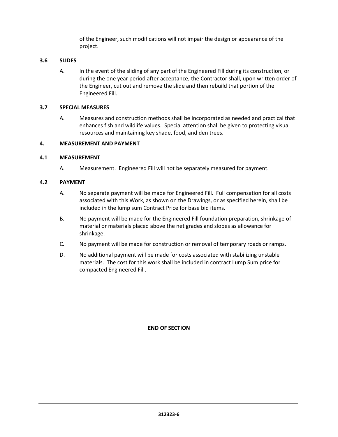of the Engineer, such modifications will not impair the design or appearance of the project.

#### <span id="page-43-0"></span>**3.6 SLIDES**

A. In the event of the sliding of any part of the Engineered Fill during its construction, or during the one year period after acceptance, the Contractor shall, upon written order of the Engineer, cut out and remove the slide and then rebuild that portion of the Engineered Fill.

#### <span id="page-43-1"></span>**3.7 SPECIAL MEASURES**

A. Measures and construction methods shall be incorporated as needed and practical that enhances fish and wildlife values. Special attention shall be given to protecting visual resources and maintaining key shade, food, and den trees.

#### **4. MEASUREMENT AND PAYMENT**

#### **4.1 MEASUREMENT**

A. Measurement. Engineered Fill will not be separately measured for payment.

#### **4.2 PAYMENT**

- A. No separate payment will be made for Engineered Fill. Full compensation for all costs associated with this Work, as shown on the Drawings, or as specified herein, shall be included in the lump sum Contract Price for base bid items.
- B. No payment will be made for the Engineered Fill foundation preparation, shrinkage of material or materials placed above the net grades and slopes as allowance for shrinkage.
- C. No payment will be made for construction or removal of temporary roads or ramps.
- D. No additional payment will be made for costs associated with stabilizing unstable materials. The cost for this work shall be included in contract Lump Sum price for compacted Engineered Fill.

#### **END OF SECTION**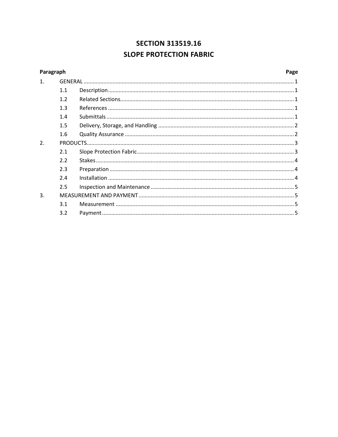### **SECTION 313519.16 SLOPE PROTECTION FABRIC**

<span id="page-44-0"></span>

| Paragraph |     |  | Page |
|-----------|-----|--|------|
| 1.        |     |  |      |
|           | 1.1 |  |      |
|           | 1.2 |  |      |
|           | 1.3 |  |      |
|           | 1.4 |  |      |
|           | 1.5 |  |      |
|           | 1.6 |  |      |
| 2.        |     |  |      |
|           | 2.1 |  |      |
|           | 2.2 |  |      |
|           | 2.3 |  |      |
|           | 2.4 |  |      |
|           | 2.5 |  |      |
| 3.        |     |  |      |
|           | 3.1 |  |      |
|           | 3.2 |  |      |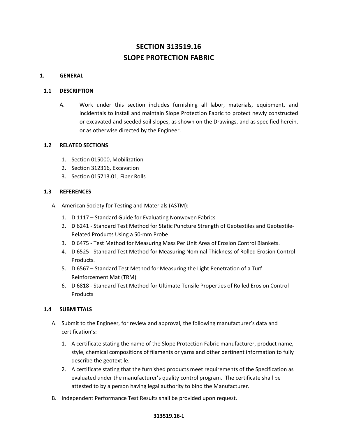### **SECTION 313519.16 SLOPE PROTECTION FABRIC**

#### <span id="page-45-0"></span>**1. GENERAL**

#### <span id="page-45-1"></span>**1.1 DESCRIPTION**

A. Work under this section includes furnishing all labor, materials, equipment, and incidentals to install and maintain Slope Protection Fabric to protect newly constructed or excavated and seeded soil slopes, as shown on the Drawings, and as specified herein, or as otherwise directed by the Engineer.

#### <span id="page-45-2"></span>**1.2 RELATED SECTIONS**

- 1. Section 015000, Mobilization
- 2. Section 312316, Excavation
- 3. Section 015713.01, Fiber Rolls

#### <span id="page-45-3"></span>**1.3 REFERENCES**

- A. American Society for Testing and Materials (ASTM):
	- 1. D 1117 Standard Guide for Evaluating Nonwoven Fabrics
	- 2. D 6241 Standard Test Method for Static Puncture Strength of Geotextiles and Geotextile-Related Products Using a 50-mm Probe
	- 3. D 6475 Test Method for Measuring Mass Per Unit Area of Erosion Control Blankets.
	- 4. D 6525 Standard Test Method for Measuring Nominal Thickness of Rolled Erosion Control Products.
	- 5. D 6567 Standard Test Method for Measuring the Light Penetration of a Turf Reinforcement Mat (TRM)
	- 6. D 6818 Standard Test Method for Ultimate Tensile Properties of Rolled Erosion Control Products

#### <span id="page-45-4"></span>**1.4 SUBMITTALS**

- A. Submit to the Engineer, for review and approval, the following manufacturer's data and certification's:
	- 1. A certificate stating the name of the Slope Protection Fabric manufacturer, product name, style, chemical compositions of filaments or yarns and other pertinent information to fully describe the geotextile.
	- 2. A certificate stating that the furnished products meet requirements of the Specification as evaluated under the manufacturer's quality control program. The certificate shall be attested to by a person having legal authority to bind the Manufacturer.
- B. Independent Performance Test Results shall be provided upon request.

#### **313519.16-1**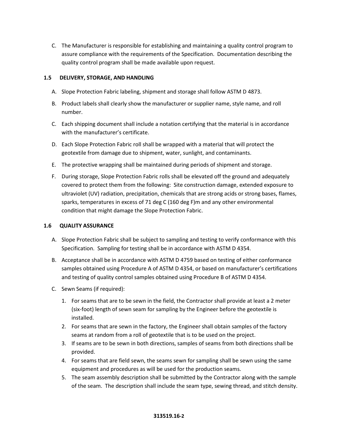C. The Manufacturer is responsible for establishing and maintaining a quality control program to assure compliance with the requirements of the Specification. Documentation describing the quality control program shall be made available upon request.

#### <span id="page-46-0"></span>**1.5 DELIVERY, STORAGE, AND HANDLING**

- A. Slope Protection Fabric labeling, shipment and storage shall follow ASTM D 4873.
- B. Product labels shall clearly show the manufacturer or supplier name, style name, and roll number.
- C. Each shipping document shall include a notation certifying that the material is in accordance with the manufacturer's certificate.
- D. Each Slope Protection Fabric roll shall be wrapped with a material that will protect the geotextile from damage due to shipment, water, sunlight, and contaminants.
- E. The protective wrapping shall be maintained during periods of shipment and storage.
- F. During storage, Slope Protection Fabric rolls shall be elevated off the ground and adequately covered to protect them from the following: Site construction damage, extended exposure to ultraviolet (UV) radiation, precipitation, chemicals that are strong acids or strong bases, flames, sparks, temperatures in excess of 71 deg C (160 deg F)m and any other environmental condition that might damage the Slope Protection Fabric.

#### <span id="page-46-1"></span>**1.6 QUALITY ASSURANCE**

- A. Slope Protection Fabric shall be subject to sampling and testing to verify conformance with this Specification. Sampling for testing shall be in accordance with ASTM D 4354.
- B. Acceptance shall be in accordance with ASTM D 4759 based on testing of either conformance samples obtained using Procedure A of ASTM D 4354, or based on manufacturer's certifications and testing of quality control samples obtained using Procedure B of ASTM D 4354.
- C. Sewn Seams (if required):
	- 1. For seams that are to be sewn in the field, the Contractor shall provide at least a 2 meter (six-foot) length of sewn seam for sampling by the Engineer before the geotextile is installed.
	- 2. For seams that are sewn in the factory, the Engineer shall obtain samples of the factory seams at random from a roll of geotextile that is to be used on the project.
	- 3. If seams are to be sewn in both directions, samples of seams from both directions shall be provided.
	- 4. For seams that are field sewn, the seams sewn for sampling shall be sewn using the same equipment and procedures as will be used for the production seams.
	- 5. The seam assembly description shall be submitted by the Contractor along with the sample of the seam. The description shall include the seam type, sewing thread, and stitch density.

#### **313519.16-2**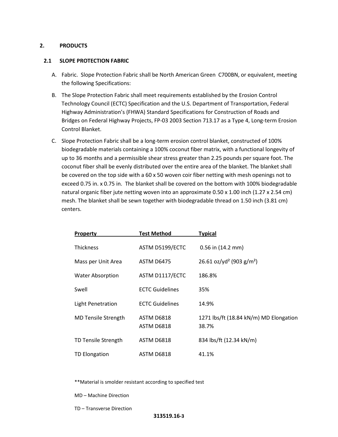#### <span id="page-47-0"></span>**2. PRODUCTS**

#### <span id="page-47-1"></span>**2.1 SLOPE PROTECTION FABRIC**

- A. Fabric. Slope Protection Fabric shall be North American Green C700BN, or equivalent, meeting the following Specifications:
- B. The Slope Protection Fabric shall meet requirements established by the Erosion Control Technology Council (ECTC) Specification and the U.S. Department of Transportation, Federal Highway Administration's (FHWA) Standard Specifications for Construction of Roads and Bridges on Federal Highway Projects, FP-03 2003 Section 713.17 as a Type 4, Long-term Erosion Control Blanket.
- C. Slope Protection Fabric shall be a long-term erosion control blanket, constructed of 100% biodegradable materials containing a 100% coconut fiber matrix, with a functional longevity of up to 36 months and a permissible shear stress greater than 2.25 pounds per square foot. The coconut fiber shall be evenly distributed over the entire area of the blanket. The blanket shall be covered on the top side with a 60 x 50 woven coir fiber netting with mesh openings not to exceed 0.75 in. x 0.75 in. The blanket shall be covered on the bottom with 100% biodegradable natural organic fiber jute netting woven into an approximate 0.50 x 1.00 inch (1.27 x 2.54 cm) mesh. The blanket shall be sewn together with biodegradable thread on 1.50 inch (3.81 cm) centers.

| <b>Property</b>            | <b>Test Method</b>       | <b>Typical</b>                                   |
|----------------------------|--------------------------|--------------------------------------------------|
| <b>Thickness</b>           | ASTM D5199/ECTC          | $0.56$ in $(14.2$ mm)                            |
| Mass per Unit Area         | ASTM D6475               | 26.61 oz/yd <sup>2</sup> (903 g/m <sup>2</sup> ) |
| <b>Water Absorption</b>    | ASTM D1117/ECTC          | 186.8%                                           |
| Swell                      | <b>ECTC Guidelines</b>   | 35%                                              |
| Light Penetration          | <b>ECTC Guidelines</b>   | 14.9%                                            |
| <b>MD Tensile Strength</b> | ASTM D6818<br>ASTM D6818 | 1271 lbs/ft (18.84 kN/m) MD Elongation<br>38.7%  |
| TD Tensile Strength        | <b>ASTM D6818</b>        | 834 lbs/ft (12.34 kN/m)                          |
| TD Elongation              | ASTM D6818               | 41.1%                                            |

\*\*Material is smolder resistant according to specified test

- MD Machine Direction
- TD Transverse Direction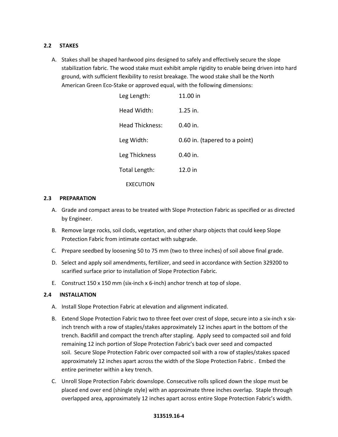#### <span id="page-48-0"></span>**2.2 STAKES**

A. Stakes shall be shaped hardwood pins designed to safely and effectively secure the slope stabilization fabric. The wood stake must exhibit ample rigidity to enable being driven into hard ground, with sufficient flexibility to resist breakage. The wood stake shall be the North American Green Eco-Stake or approved equal, with the following dimensions:

| Leg Length:      | 11.00 in                      |
|------------------|-------------------------------|
| Head Width:      | 1.25 in.                      |
| Head Thickness:  | $0.40$ in.                    |
| Leg Width:       | 0.60 in. (tapered to a point) |
| Leg Thickness    | 0.40 in.                      |
| Total Length:    | 12.0 in                       |
| <b>EXECUTION</b> |                               |

#### <span id="page-48-1"></span>**2.3 PREPARATION**

- A. Grade and compact areas to be treated with Slope Protection Fabric as specified or as directed by Engineer.
- B. Remove large rocks, soil clods, vegetation, and other sharp objects that could keep Slope Protection Fabric from intimate contact with subgrade.
- C. Prepare seedbed by loosening 50 to 75 mm (two to three inches) of soil above final grade.
- D. Select and apply soil amendments, fertilizer, and seed in accordance with Section 329200 to scarified surface prior to installation of Slope Protection Fabric.
- E. Construct 150 x 150 mm (six-inch x 6-inch) anchor trench at top of slope.

#### **2.4 INSTALLATION**

- A. Install Slope Protection Fabric at elevation and alignment indicated.
- B. Extend Slope Protection Fabric two to three feet over crest of slope, secure into a six-inch x sixinch trench with a row of staples/stakes approximately 12 inches apart in the bottom of the trench. Backfill and compact the trench after stapling. Apply seed to compacted soil and fold remaining 12 inch portion of Slope Protection Fabric's back over seed and compacted soil. Secure Slope Protection Fabric over compacted soil with a row of staples/stakes spaced approximately 12 inches apart across the width of the Slope Protection Fabric . Embed the entire perimeter within a key trench.
- C. Unroll Slope Protection Fabric downslope. Consecutive rolls spliced down the slope must be placed end over end (shingle style) with an approximate three inches overlap. Staple through overlapped area, approximately 12 inches apart across entire Slope Protection Fabric's width.

#### **313519.16-4**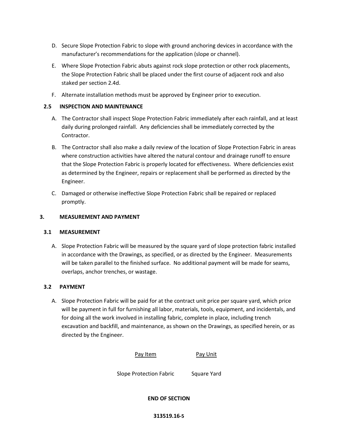- D. Secure Slope Protection Fabric to slope with ground anchoring devices in accordance with the manufacturer's recommendations for the application (slope or channel).
- E. Where Slope Protection Fabric abuts against rock slope protection or other rock placements, the Slope Protection Fabric shall be placed under the first course of adjacent rock and also staked per section 2.4d.
- F. Alternate installation methods must be approved by Engineer prior to execution.

#### **2.5 INSPECTION AND MAINTENANCE**

- A. The Contractor shall inspect Slope Protection Fabric immediately after each rainfall, and at least daily during prolonged rainfall. Any deficiencies shall be immediately corrected by the Contractor.
- B. The Contractor shall also make a daily review of the location of Slope Protection Fabric in areas where construction activities have altered the natural contour and drainage runoff to ensure that the Slope Protection Fabric is properly located for effectiveness. Where deficiencies exist as determined by the Engineer, repairs or replacement shall be performed as directed by the Engineer.
- C. Damaged or otherwise ineffective Slope Protection Fabric shall be repaired or replaced promptly.

#### **3. MEASUREMENT AND PAYMENT**

#### **3.1 MEASUREMENT**

A. Slope Protection Fabric will be measured by the square yard of slope protection fabric installed in accordance with the Drawings, as specified, or as directed by the Engineer. Measurements will be taken parallel to the finished surface. No additional payment will be made for seams, overlaps, anchor trenches, or wastage.

#### **3.2 PAYMENT**

A. Slope Protection Fabric will be paid for at the contract unit price per square yard, which price will be payment in full for furnishing all labor, materials, tools, equipment, and incidentals, and for doing all the work involved in installing fabric, complete in place, including trench excavation and backfill, and maintenance, as shown on the Drawings, as specified herein, or as directed by the Engineer.



Slope Protection Fabric Square Yard

**END OF SECTION**

#### **313519.16-5**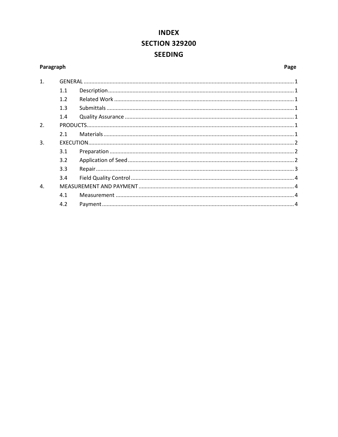## **INDEX SECTION 329200 SEEDING**

#### <span id="page-50-0"></span>Paragraph

#### Page

| 1.               |     |  |
|------------------|-----|--|
|                  | 1.1 |  |
|                  | 1.2 |  |
|                  | 1.3 |  |
|                  | 1.4 |  |
| 2.               |     |  |
|                  | 2.1 |  |
| 3.               |     |  |
|                  | 3.1 |  |
|                  | 3.2 |  |
|                  | 3.3 |  |
|                  | 3.4 |  |
| $\overline{4}$ . |     |  |
|                  | 4.1 |  |
|                  | 4.2 |  |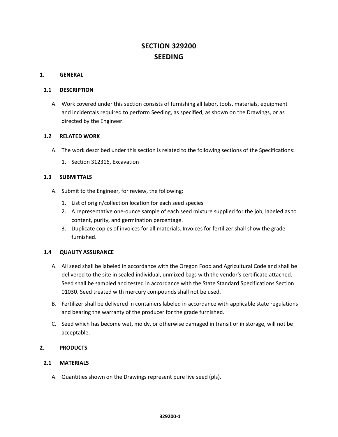### **SECTION 329200 SEEDING**

#### <span id="page-51-0"></span>**1. GENERAL**

#### <span id="page-51-1"></span>**1.1 DESCRIPTION**

A. Work covered under this section consists of furnishing all labor, tools, materials, equipment and incidentals required to perform Seeding, as specified, as shown on the Drawings, or as directed by the Engineer.

#### <span id="page-51-2"></span>**1.2 RELATED WORK**

- A. The work described under this section is related to the following sections of the Specifications:
	- 1. Section 312316, Excavation

#### <span id="page-51-3"></span>**1.3 SUBMITTALS**

- A. Submit to the Engineer, for review, the following:
	- 1. List of origin/collection location for each seed species
	- 2. A representative one-ounce sample of each seed mixture supplied for the job, labeled as to content, purity, and germination percentage.
	- 3. Duplicate copies of invoices for all materials. Invoices for fertilizer shall show the grade furnished.

#### <span id="page-51-4"></span>**1.4 QUALITY ASSURANCE**

- A. All seed shall be labeled in accordance with the Oregon Food and Agricultural Code and shall be delivered to the site in sealed individual, unmixed bags with the vendor's certificate attached. Seed shall be sampled and tested in accordance with the State Standard Specifications Section 01030. Seed treated with mercury compounds shall not be used.
- B. Fertilizer shall be delivered in containers labeled in accordance with applicable state regulations and bearing the warranty of the producer for the grade furnished.
- C. Seed which has become wet, moldy, or otherwise damaged in transit or in storage, will not be acceptable.

#### <span id="page-51-5"></span>**2. PRODUCTS**

#### <span id="page-51-6"></span>**2.1 MATERIALS**

A. Quantities shown on the Drawings represent pure live seed (pls).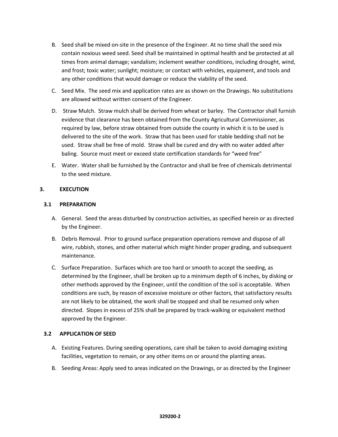- B. Seed shall be mixed on-site in the presence of the Engineer. At no time shall the seed mix contain noxious weed seed. Seed shall be maintained in optimal health and be protected at all times from animal damage; vandalism; inclement weather conditions, including drought, wind, and frost; toxic water; sunlight; moisture; or contact with vehicles, equipment, and tools and any other conditions that would damage or reduce the viability of the seed.
- C. Seed Mix. The seed mix and application rates are as shown on the Drawings. No substitutions are allowed without written consent of the Engineer.
- D. Straw Mulch. Straw mulch shall be derived from wheat or barley. The Contractor shall furnish evidence that clearance has been obtained from the County Agricultural Commissioner, as required by law, before straw obtained from outside the county in which it is to be used is delivered to the site of the work. Straw that has been used for stable bedding shall not be used. Straw shall be free of mold. Straw shall be cured and dry with no water added after baling. Source must meet or exceed state certification standards for "weed free"
- E. Water. Water shall be furnished by the Contractor and shall be free of chemicals detrimental to the seed mixture.

#### <span id="page-52-0"></span>**3. EXECUTION**

#### <span id="page-52-1"></span>**3.1 PREPARATION**

- A. General. Seed the areas disturbed by construction activities, as specified herein or as directed by the Engineer.
- B. Debris Removal. Prior to ground surface preparation operations remove and dispose of all wire, rubbish, stones, and other material which might hinder proper grading, and subsequent maintenance.
- C. Surface Preparation. Surfaces which are too hard or smooth to accept the seeding, as determined by the Engineer, shall be broken up to a minimum depth of 6 inches, by disking or other methods approved by the Engineer, until the condition of the soil is acceptable. When conditions are such, by reason of excessive moisture or other factors, that satisfactory results are not likely to be obtained, the work shall be stopped and shall be resumed only when directed. Slopes in excess of 25% shall be prepared by track-walking or equivalent method approved by the Engineer.

#### <span id="page-52-2"></span>**3.2 APPLICATION OF SEED**

- A. Existing Features. During seeding operations, care shall be taken to avoid damaging existing facilities, vegetation to remain, or any other items on or around the planting areas.
- B. Seeding Areas: Apply seed to areas indicated on the Drawings, or as directed by the Engineer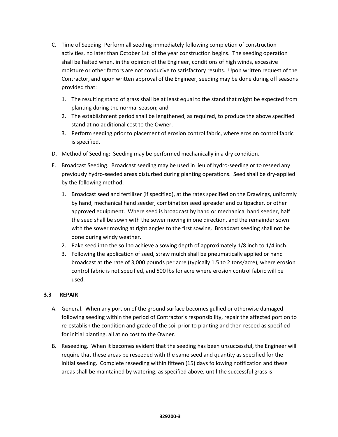- C. Time of Seeding: Perform all seeding immediately following completion of construction activities, no later than October 1st of the year construction begins. The seeding operation shall be halted when, in the opinion of the Engineer, conditions of high winds, excessive moisture or other factors are not conducive to satisfactory results. Upon written request of the Contractor, and upon written approval of the Engineer, seeding may be done during off seasons provided that:
	- 1. The resulting stand of grass shall be at least equal to the stand that might be expected from planting during the normal season; and
	- 2. The establishment period shall be lengthened, as required, to produce the above specified stand at no additional cost to the Owner.
	- 3. Perform seeding prior to placement of erosion control fabric, where erosion control fabric is specified.
- D. Method of Seeding: Seeding may be performed mechanically in a dry condition.
- E. Broadcast Seeding. Broadcast seeding may be used in lieu of hydro-seeding or to reseed any previously hydro-seeded areas disturbed during planting operations. Seed shall be dry-applied by the following method:
	- 1. Broadcast seed and fertilizer (if specified), at the rates specified on the Drawings, uniformly by hand, mechanical hand seeder, combination seed spreader and cultipacker, or other approved equipment. Where seed is broadcast by hand or mechanical hand seeder, half the seed shall be sown with the sower moving in one direction, and the remainder sown with the sower moving at right angles to the first sowing. Broadcast seeding shall not be done during windy weather.
	- 2. Rake seed into the soil to achieve a sowing depth of approximately 1/8 inch to 1/4 inch.
	- 3. Following the application of seed, straw mulch shall be pneumatically applied or hand broadcast at the rate of 3,000 pounds per acre (typically 1.5 to 2 tons/acre), where erosion control fabric is not specified, and 500 lbs for acre where erosion control fabric will be used.

#### <span id="page-53-0"></span>**3.3 REPAIR**

- A. General. When any portion of the ground surface becomes gullied or otherwise damaged following seeding within the period of Contractor's responsibility, repair the affected portion to re-establish the condition and grade of the soil prior to planting and then reseed as specified for initial planting, all at no cost to the Owner.
- B. Reseeding. When it becomes evident that the seeding has been unsuccessful, the Engineer will require that these areas be reseeded with the same seed and quantity as specified for the initial seeding. Complete reseeding within fifteen (15) days following notification and these areas shall be maintained by watering, as specified above, until the successful grass is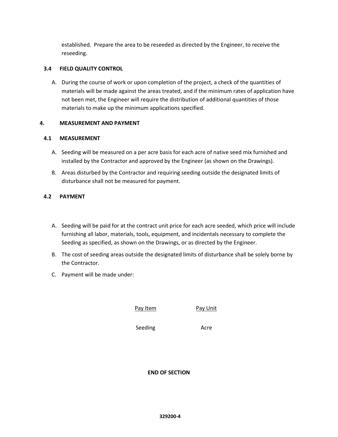established. Prepare the area to be reseeded as directed by the Engineer, to receive the reseeding.

#### <span id="page-54-0"></span>**3.4 FIELD QUALITY CONTROL**

A. During the course of work or upon completion of the project, a check of the quantities of materials will be made against the areas treated, and if the minimum rates of application have not been met, the Engineer will require the distribution of additional quantities of those materials to make up the minimum applications specified.

#### <span id="page-54-1"></span>**4. MEASUREMENT AND PAYMENT**

#### **4.1 MEASUREMENT**

- A. Seeding will be measured on a per acre basis for each acre of native seed mix furnished and installed by the Contractor and approved by the Engineer (as shown on the Drawings).
- B. Areas disturbed by the Contractor and requiring seeding outside the designated limits of disturbance shall not be measured for payment.

#### **4.2 PAYMENT**

- A. Seeding will be paid for at the contract unit price for each acre seeded, which price will include furnishing all labor, materials, tools, equipment, and incidentals necessary to complete the Seeding as specified, as shown on the Drawings, or as directed by the Engineer.
- B. The cost of seeding areas outside the designated limits of disturbance shall be solely borne by the Contractor.
- C. Payment will be made under:

Pay Item Pay Unit

Seeding **Acre** 

**END OF SECTION**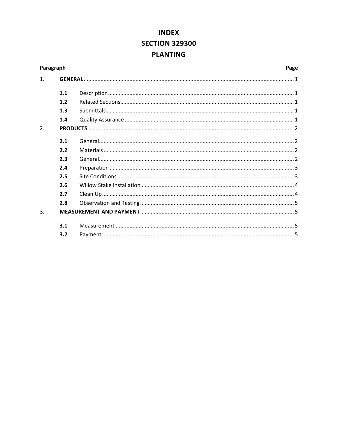### **INDEX SECTION 329300 PLANTING**

<span id="page-55-0"></span>

| Paragraph        |     | Page |
|------------------|-----|------|
| 1.               |     |      |
|                  | 1.1 |      |
|                  | 1.2 |      |
|                  | 1.3 |      |
|                  | 1.4 |      |
| $\overline{2}$ . |     |      |
|                  | 2.1 |      |
|                  | 2.2 |      |
|                  | 2.3 |      |
|                  | 2.4 |      |
|                  | 2.5 |      |
|                  | 2.6 |      |
|                  | 2.7 |      |
|                  | 2.8 |      |
| 3.               |     |      |
|                  | 3.1 |      |
|                  | 3.2 |      |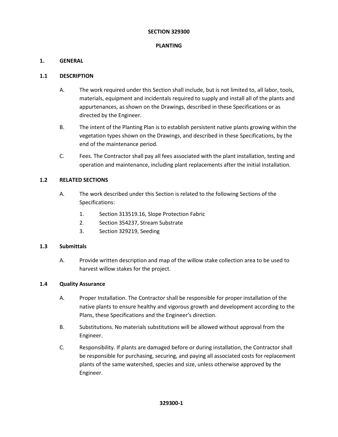#### **SECTION 329300**

#### **PLANTING**

#### <span id="page-56-0"></span>**1. GENERAL**

#### <span id="page-56-1"></span>**1.1 DESCRIPTION**

- A. The work required under this Section shall include, but is not limited to, all labor, tools, materials, equipment and incidentals required to supply and install all of the plants and appurtenances, as shown on the Drawings, described in these Specifications or as directed by the Engineer.
- B. The intent of the Planting Plan is to establish persistent native plants growing within the vegetation types shown on the Drawings, and described in these Specifications, by the end of the maintenance period.
- C. Fees. The Contractor shall pay all fees associated with the plant installation, testing and operation and maintenance, including plant replacements after the initial installation.

#### <span id="page-56-2"></span>**1.2 RELATED SECTIONS**

- A. The work described under this Section is related to the following Sections of the Specifications:
	- 1. Section 313519.16, Slope Protection Fabric
	- 2. Section 354237, Stream Substrate
	- 3. Section 329219, Seeding

#### **1.3 Submittals**

<span id="page-56-4"></span><span id="page-56-3"></span>A. Provide written description and map of the willow stake collection area to be used to harvest willow stakes for the project.

#### **1.4 Quality Assurance**

- A. Proper Installation. The Contractor shall be responsible for proper installation of the native plants to ensure healthy and vigorous growth and development according to the Plans, these Specifications and the Engineer's direction.
- B. Substitutions. No materials substitutions will be allowed without approval from the Engineer.
- C. Responsibility. If plants are damaged before or during installation, the Contractor shall be responsible for purchasing, securing, and paying all associated costs for replacement plants of the same watershed, species and size, unless otherwise approved by the Engineer.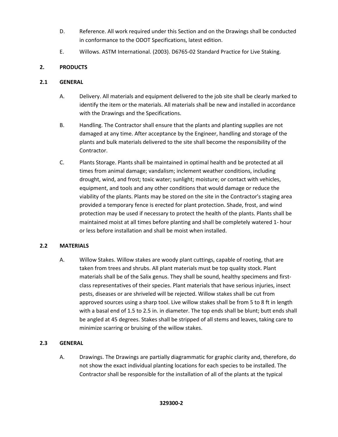- D. Reference. All work required under this Section and on the Drawings shall be conducted in conformance to the ODOT Specifications, latest edition.
- E. Willows. ASTM International. (2003). D6765-02 Standard Practice for Live Staking.

#### <span id="page-57-0"></span>**2. PRODUCTS**

#### <span id="page-57-1"></span>**2.1 GENERAL**

- A. Delivery. All materials and equipment delivered to the job site shall be clearly marked to identify the item or the materials. All materials shall be new and installed in accordance with the Drawings and the Specifications.
- B. Handling. The Contractor shall ensure that the plants and planting supplies are not damaged at any time. After acceptance by the Engineer, handling and storage of the plants and bulk materials delivered to the site shall become the responsibility of the Contractor.
- C. Plants Storage. Plants shall be maintained in optimal health and be protected at all times from animal damage; vandalism; inclement weather conditions, including drought, wind, and frost; toxic water; sunlight; moisture; or contact with vehicles, equipment, and tools and any other conditions that would damage or reduce the viability of the plants. Plants may be stored on the site in the Contractor's staging area provided a temporary fence is erected for plant protection. Shade, frost, and wind protection may be used if necessary to protect the health of the plants. Plants shall be maintained moist at all times before planting and shall be completely watered 1- hour or less before installation and shall be moist when installed.

#### <span id="page-57-2"></span>**2.2 MATERIALS**

A. Willow Stakes. Willow stakes are woody plant cuttings, capable of rooting, that are taken from trees and shrubs. All plant materials must be top quality stock. Plant materials shall be of the Salix genus. They shall be sound, healthy specimens and firstclass representatives of their species. Plant materials that have serious injuries, insect pests, diseases or are shriveled will be rejected. Willow stakes shall be cut from approved sources using a sharp tool. Live willow stakes shall be from 5 to 8 ft in length with a basal end of 1.5 to 2.5 in. in diameter. The top ends shall be blunt; butt ends shall be angled at 45 degrees. Stakes shall be stripped of all stems and leaves, taking care to minimize scarring or bruising of the willow stakes.

#### <span id="page-57-3"></span>**2.3 GENERAL**

A. Drawings. The Drawings are partially diagrammatic for graphic clarity and, therefore, do not show the exact individual planting locations for each species to be installed. The Contractor shall be responsible for the installation of all of the plants at the typical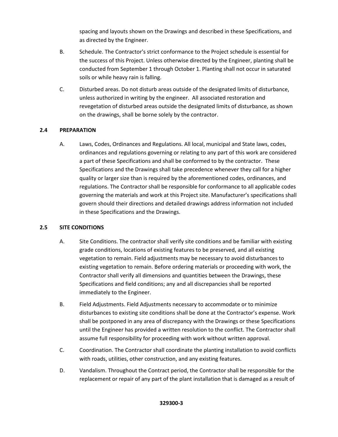spacing and layouts shown on the Drawings and described in these Specifications, and as directed by the Engineer.

- B. Schedule. The Contractor's strict conformance to the Project schedule is essential for the success of this Project. Unless otherwise directed by the Engineer, planting shall be conducted from September 1 through October 1. Planting shall not occur in saturated soils or while heavy rain is falling.
- C. Disturbed areas. Do not disturb areas outside of the designated limits of disturbance, unless authorized in writing by the engineer. All associated restoration and revegetation of disturbed areas outside the designated limits of disturbance, as shown on the drawings, shall be borne solely by the contractor.

#### <span id="page-58-0"></span>**2.4 PREPARATION**

A. Laws, Codes, Ordinances and Regulations. All local, municipal and State laws, codes, ordinances and regulations governing or relating to any part of this work are considered a part of these Specifications and shall be conformed to by the contractor. These Specifications and the Drawings shall take precedence whenever they call for a higher quality or larger size than is required by the aforementioned codes, ordinances, and regulations. The Contractor shall be responsible for conformance to all applicable codes governing the materials and work at this Project site. Manufacturer's specifications shall govern should their directions and detailed drawings address information not included in these Specifications and the Drawings.

#### **2.5 SITE CONDITIONS**

- <span id="page-58-1"></span>A. Site Conditions. The contractor shall verify site conditions and be familiar with existing grade conditions, locations of existing features to be preserved, and all existing vegetation to remain. Field adjustments may be necessary to avoid disturbances to existing vegetation to remain. Before ordering materials or proceeding with work, the Contractor shall verify all dimensions and quantities between the Drawings, these Specifications and field conditions; any and all discrepancies shall be reported immediately to the Engineer.
- B. Field Adjustments. Field Adjustments necessary to accommodate or to minimize disturbances to existing site conditions shall be done at the Contractor's expense. Work shall be postponed in any area of discrepancy with the Drawings or these Specifications until the Engineer has provided a written resolution to the conflict. The Contractor shall assume full responsibility for proceeding with work without written approval.
- C. Coordination. The Contractor shall coordinate the planting installation to avoid conflicts with roads, utilities, other construction, and any existing features.
- D. Vandalism. Throughout the Contract period, the Contractor shall be responsible for the replacement or repair of any part of the plant installation that is damaged as a result of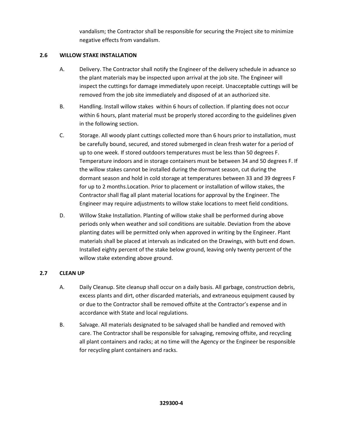vandalism; the Contractor shall be responsible for securing the Project site to minimize negative effects from vandalism.

#### <span id="page-59-0"></span>**2.6 WILLOW STAKE INSTALLATION**

- A. Delivery. The Contractor shall notify the Engineer of the delivery schedule in advance so the plant materials may be inspected upon arrival at the job site. The Engineer will inspect the cuttings for damage immediately upon receipt. Unacceptable cuttings will be removed from the job site immediately and disposed of at an authorized site.
- B. Handling. Install willow stakes within 6 hours of collection. If planting does not occur within 6 hours, plant material must be properly stored according to the guidelines given in the following section.
- C. Storage. All woody plant cuttings collected more than 6 hours prior to installation, must be carefully bound, secured, and stored submerged in clean fresh water for a period of up to one week. If stored outdoors temperatures must be less than 50 degrees F. Temperature indoors and in storage containers must be between 34 and 50 degrees F. If the willow stakes cannot be installed during the dormant season, cut during the dormant season and hold in cold storage at temperatures between 33 and 39 degrees F for up to 2 months.Location. Prior to placement or installation of willow stakes, the Contractor shall flag all plant material locations for approval by the Engineer. The Engineer may require adjustments to willow stake locations to meet field conditions.
- D. Willow Stake Installation. Planting of willow stake shall be performed during above periods only when weather and soil conditions are suitable. Deviation from the above planting dates will be permitted only when approved in writing by the Engineer. Plant materials shall be placed at intervals as indicated on the Drawings, with butt end down. Installed eighty percent of the stake below ground, leaving only twenty percent of the willow stake extending above ground.

#### <span id="page-59-1"></span>**2.7 CLEAN UP**

- A. Daily Cleanup. Site cleanup shall occur on a daily basis. All garbage, construction debris, excess plants and dirt, other discarded materials, and extraneous equipment caused by or due to the Contractor shall be removed offsite at the Contractor's expense and in accordance with State and local regulations.
- B. Salvage. All materials designated to be salvaged shall be handled and removed with care. The Contractor shall be responsible for salvaging, removing offsite, and recycling all plant containers and racks; at no time will the Agency or the Engineer be responsible for recycling plant containers and racks.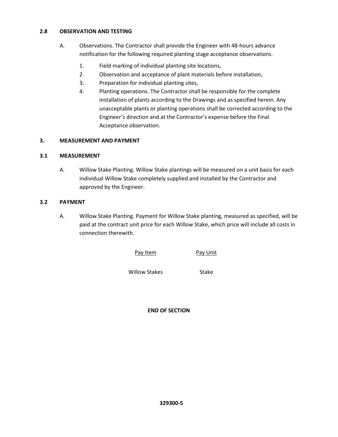#### <span id="page-60-0"></span>**2.8 OBSERVATION AND TESTING**

- A. Observations. The Contractor shall provide the Engineer with 48-hours advance notification for the following required planting stage acceptance observations.
	- 1. Field marking of individual planting site locations,
	- 2. Observation and acceptance of plant materials before installation,
	- 3. Preparation for individual planting sites,
	- 4. Planting operations. The Contractor shall be responsible for the complete installation of plants according to the Drawings and as specified herein. Any unacceptable plants or planting operations shall be corrected according to the Engineer's direction and at the Contractor's expense before the Final Acceptance observation.

#### **3. MEASUREMENT AND PAYMENT**

#### **3.1 MEASUREMENT**

A. Willow Stake Planting. Willow Stake plantings will be measured on a unit basis for each individual Willow Stake completely supplied and installed by the Contractor and approved by the Engineer.

#### **3.2 PAYMENT**

A. Willow Stake Planting. Payment for Willow Stake planting, measured as specified, will be paid at the contract unit price for each Willow Stake, which price will include all costs in connection therewith.

Pay Item Pay Unit

Willow Stakes Stake

**END OF SECTION**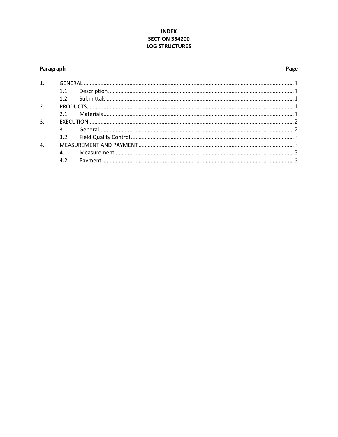#### **INDEX SECTION 354200 LOG STRUCTURES**

#### <span id="page-61-0"></span>Paragraph

#### Page

| 1. |     |  |  |
|----|-----|--|--|
|    | 1.1 |  |  |
|    | 1.2 |  |  |
| 2. |     |  |  |
|    |     |  |  |
| 3. |     |  |  |
|    |     |  |  |
|    |     |  |  |
| 4. |     |  |  |
|    | 4.1 |  |  |
|    | 4.2 |  |  |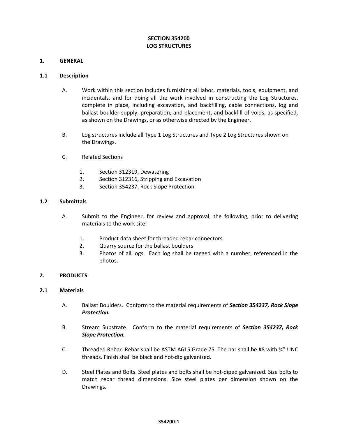#### **SECTION 354200 LOG STRUCTURES**

#### <span id="page-62-0"></span>**1. GENERAL**

#### <span id="page-62-1"></span>**1.1 Description**

- A. Work within this section includes furnishing all labor, materials, tools, equipment, and incidentals, and for doing all the work involved in constructing the Log Structures, complete in place, including excavation, and backfilling, cable connections, log and ballast boulder supply, preparation, and placement, and backfill of voids, as specified, as shown on the Drawings, or as otherwise directed by the Engineer.
- B. Log structures include all Type 1 Log Structures and Type 2 Log Structures shown on the Drawings.
- C. Related Sections
	- 1. Section 312319, Dewatering
	- 2. Section 312316, Stripping and Excavation
	- 3. Section 354237, Rock Slope Protection

#### <span id="page-62-2"></span>**1.2 Submittals**

- A. Submit to the Engineer, for review and approval, the following, prior to delivering materials to the work site:
	- 1. Product data sheet for threaded rebar connectors
	- 2. Quarry source for the ballast boulders
	- 3. Photos of all logs. Each log shall be tagged with a number, referenced in the photos.

#### <span id="page-62-3"></span>**2. PRODUCTS**

#### <span id="page-62-4"></span>**2.1 Materials**

- A. Ballast Boulders. Conform to the material requirements of *Section 354237, Rock Slope Protection.*
- B. Stream Substrate. Conform to the material requirements of *Section 354237, Rock Slope Protection.*
- C. Threaded Rebar. Rebar shall be ASTM A615 Grade 75. The bar shall be #8 with ¾" UNC threads. Finish shall be black and hot-dip galvanized.
- D. Steel Plates and Bolts. Steel plates and bolts shall be hot-diped galvanized. Size bolts to match rebar thread dimensions. Size steel plates per dimension shown on the Drawings.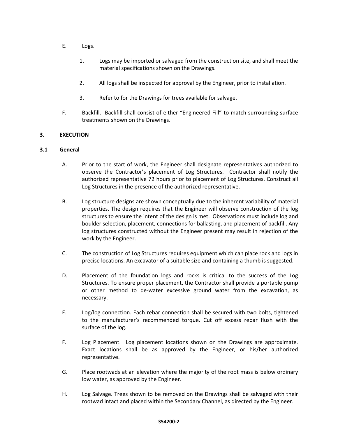- E. Logs.
	- 1. Logs may be imported or salvaged from the construction site, and shall meet the material specifications shown on the Drawings.
	- 2. All logs shall be inspected for approval by the Engineer, prior to installation.
	- 3. Refer to for the Drawings for trees available for salvage.
- F. Backfill. Backfill shall consist of either "Engineered Fill" to match surrounding surface treatments shown on the Drawings.

#### <span id="page-63-0"></span>**3. EXECUTION**

#### <span id="page-63-1"></span>**3.1 General**

- A. Prior to the start of work, the Engineer shall designate representatives authorized to observe the Contractor's placement of Log Structures. Contractor shall notify the authorized representative 72 hours prior to placement of Log Structures. Construct all Log Structures in the presence of the authorized representative.
- B. Log structure designs are shown conceptually due to the inherent variability of material properties. The design requires that the Engineer will observe construction of the log structures to ensure the intent of the design is met. Observations must include log and boulder selection, placement, connections for ballasting, and placement of backfill. Any log structures constructed without the Engineer present may result in rejection of the work by the Engineer.
- C. The construction of Log Structures requires equipment which can place rock and logs in precise locations. An excavator of a suitable size and containing a thumb is suggested.
- D. Placement of the foundation logs and rocks is critical to the success of the Log Structures. To ensure proper placement, the Contractor shall provide a portable pump or other method to de-water excessive ground water from the excavation, as necessary.
- E. Log/log connection. Each rebar connection shall be secured with two bolts, tightened to the manufacturer's recommended torque. Cut off excess rebar flush with the surface of the log.
- F. Log Placement. Log placement locations shown on the Drawings are approximate. Exact locations shall be as approved by the Engineer, or his/her authorized representative.
- G. Place rootwads at an elevation where the majority of the root mass is below ordinary low water, as approved by the Engineer.
- H. Log Salvage. Trees shown to be removed on the Drawings shall be salvaged with their rootwad intact and placed within the Secondary Channel, as directed by the Engineer.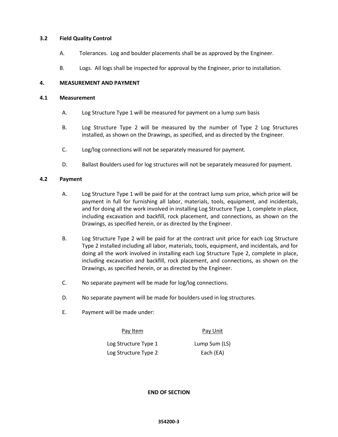#### <span id="page-64-0"></span>**3.2 Field Quality Control**

- A. Tolerances. Log and boulder placements shall be as approved by the Engineer.
- B. Logs. All logs shall be inspected for approval by the Engineer, prior to installation.

#### <span id="page-64-1"></span>**4. MEASUREMENT AND PAYMENT**

#### <span id="page-64-2"></span>**4.1 Measurement**

- A. Log Structure Type 1 will be measured for payment on a lump sum basis
- B. Log Structure Type 2 will be measured by the number of Type 2 Log Structures installed, as shown on the Drawings, as specified, and as directed by the Engineer.
- C. Log/log connections will not be separately measured for payment.
- D. Ballast Boulders used for log structures will not be separately measured for payment.

#### <span id="page-64-3"></span>**4.2 Payment**

- A. Log Structure Type 1 will be paid for at the contract lump sum price, which price will be payment in full for furnishing all labor, materials, tools, equipment, and incidentals, and for doing all the work involved in installing Log Structure Type 1, complete in place, including excavation and backfill, rock placement, and connections, as shown on the Drawings, as specified herein, or as directed by the Engineer.
- B. Log Structure Type 2 will be paid for at the contract unit price for each Log Structure Type 2 installed including all labor, materials, tools, equipment, and incidentals, and for doing all the work involved in installing each Log Structure Type 2, complete in place, including excavation and backfill, rock placement, and connections, as shown on the Drawings, as specified herein, or as directed by the Engineer.
- C. No separate payment will be made for log/log connections.
- D. No separate payment will be made for boulders used in log structures.
- E. Payment will be made under:

Pay Item Pay Unit

Log Structure Type 1 Log Structure Type 2

Lump Sum (LS) Each (EA)

**END OF SECTION**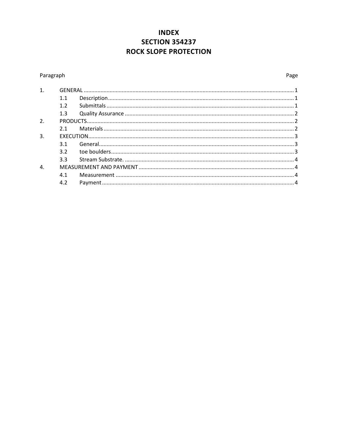### **INDEX SECTION 354237 ROCK SLOPE PROTECTION**

#### <span id="page-65-0"></span>Paragraph

| 1. |     |  |  |  |
|----|-----|--|--|--|
|    | 1.1 |  |  |  |
|    | 1.2 |  |  |  |
|    | 1.3 |  |  |  |
| 2. |     |  |  |  |
|    | 2.1 |  |  |  |
| 3. |     |  |  |  |
|    | 3.1 |  |  |  |
|    | 3.2 |  |  |  |
|    | 3.3 |  |  |  |
| 4. |     |  |  |  |
|    | 4.1 |  |  |  |
|    | 4.2 |  |  |  |
|    |     |  |  |  |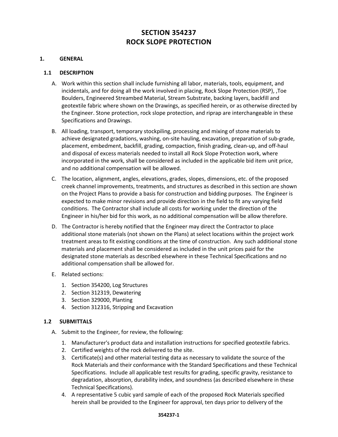### **SECTION 354237 ROCK SLOPE PROTECTION**

#### <span id="page-66-0"></span>**1. GENERAL**

#### <span id="page-66-1"></span>**1.1 DESCRIPTION**

- A. Work within this section shall include furnishing all labor, materials, tools, equipment, and incidentals, and for doing all the work involved in placing, Rock Slope Protection (RSP), ,Toe Boulders, Engineered Streambed Material, Stream Substrate, backing layers, backfill and geotextile fabric where shown on the Drawings, as specified herein, or as otherwise directed by the Engineer. Stone protection, rock slope protection, and riprap are interchangeable in these Specifications and Drawings.
- B. All loading, transport, temporary stockpiling, processing and mixing of stone materials to achieve designated gradations, washing, on-site hauling, excavation, preparation of sub-grade, placement, embedment, backfill, grading, compaction, finish grading, clean-up, and off-haul and disposal of excess materials needed to install all Rock Slope Protection work, where incorporated in the work, shall be considered as included in the applicable bid item unit price, and no additional compensation will be allowed.
- C. The location, alignment, angles, elevations, grades, slopes, dimensions, etc. of the proposed creek channel improvements, treatments, and structures as described in this section are shown on the Project Plans to provide a basis for construction and bidding purposes. The Engineer is expected to make minor revisions and provide direction in the field to fit any varying field conditions. The Contractor shall include all costs for working under the direction of the Engineer in his/her bid for this work, as no additional compensation will be allow therefore.
- D. The Contractor is hereby notified that the Engineer may direct the Contractor to place additional stone materials (not shown on the Plans) at select locations within the project work treatment areas to fit existing conditions at the time of construction. Any such additional stone materials and placement shall be considered as included in the unit prices paid for the designated stone materials as described elsewhere in these Technical Specifications and no additional compensation shall be allowed for.
- E. Related sections:
	- 1. Section 354200, Log Structures
	- 2. Section 312319, Dewatering
	- 3. Section 329000, Planting
	- 4. Section 312316, Stripping and Excavation

#### <span id="page-66-2"></span>**1.2 SUBMITTALS**

- A. Submit to the Engineer, for review, the following:
	- 1. Manufacturer's product data and installation instructions for specified geotextile fabrics.
	- 2. Certified weights of the rock delivered to the site.
	- 3. Certificate(s) and other material testing data as necessary to validate the source of the Rock Materials and their conformance with the Standard Specifications and these Technical Specifications. Include all applicable test results for grading, specific gravity, resistance to degradation, absorption, durability index, and soundness (as described elsewhere in these Technical Specifications).
	- 4. A representative 5 cubic yard sample of each of the proposed Rock Materials specified herein shall be provided to the Engineer for approval, ten days prior to delivery of the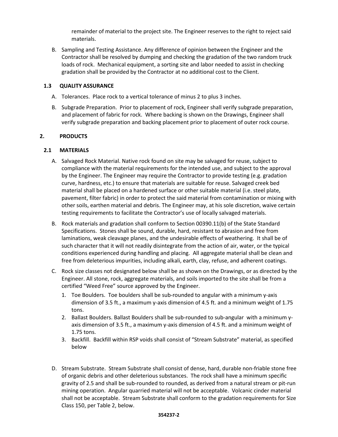remainder of material to the project site. The Engineer reserves to the right to reject said materials.

B. Sampling and Testing Assistance. Any difference of opinion between the Engineer and the Contractor shall be resolved by dumping and checking the gradation of the two random truck loads of rock. Mechanical equipment, a sorting site and labor needed to assist in checking gradation shall be provided by the Contractor at no additional cost to the Client.

#### <span id="page-67-0"></span>**1.3 QUALITY ASSURANCE**

- A. Tolerances. Place rock to a vertical tolerance of minus 2 to plus 3 inches.
- B. Subgrade Preparation. Prior to placement of rock, Engineer shall verify subgrade preparation, and placement of fabric for rock. Where backing is shown on the Drawings, Engineer shall verify subgrade preparation and backing placement prior to placement of outer rock course.

#### <span id="page-67-1"></span>**2. PRODUCTS**

#### <span id="page-67-2"></span>**2.1 MATERIALS**

- A. Salvaged Rock Material. Native rock found on site may be salvaged for reuse, subject to compliance with the material requirements for the intended use, and subject to the approval by the Engineer. The Engineer may require the Contractor to provide testing (e.g. gradation curve, hardness, etc.) to ensure that materials are suitable for reuse. Salvaged creek bed material shall be placed on a hardened surface or other suitable material (i.e. steel plate, pavement, filter fabric) in order to protect the said material from contamination or mixing with other soils, earthen material and debris. The Engineer may, at his sole discretion, waive certain testing requirements to facilitate the Contractor's use of locally salvaged materials.
- B. Rock materials and gradation shall conform to Section 00390.11(b) of the State Standard Specifications. Stones shall be sound, durable, hard, resistant to abrasion and free from laminations, weak cleavage planes, and the undesirable effects of weathering. It shall be of such character that it will not readily disintegrate from the action of air, water, or the typical conditions experienced during handling and placing. All aggregate material shall be clean and free from deleterious impurities, including alkali, earth, clay, refuse, and adherent coatings.
- C. Rock size classes not designated below shall be as shown on the Drawings, or as directed by the Engineer. All stone, rock, aggregate materials, and soils imported to the site shall be from a certified "Weed Free" source approved by the Engineer.
	- 1. Toe Boulders. Toe boulders shall be sub-rounded to angular with a minimum y-axis dimension of 3.5 ft., a maximum y-axis dimension of 4.5 ft. and a minimum weight of 1.75 tons.
	- 2. Ballast Boulders. Ballast Boulders shall be sub-rounded to sub-angular with a minimum yaxis dimension of 3.5 ft., a maximum y-axis dimension of 4.5 ft. and a minimum weight of 1.75 tons.
	- 3. Backfill. Backfill within RSP voids shall consist of "Stream Substrate" material, as specified below
- D. Stream Substrate. Stream Substrate shall consist of dense, hard, durable non-friable stone free of organic debris and other deleterious substances. The rock shall have a minimum specific gravity of 2.5 and shall be sub-rounded to rounded, as derived from a natural stream or pit-run mining operation. Angular quarried material will not be acceptable. Volcanic cinder material shall not be acceptable. Stream Substrate shall conform to the gradation requirements for Size Class 150, per Table 2, below.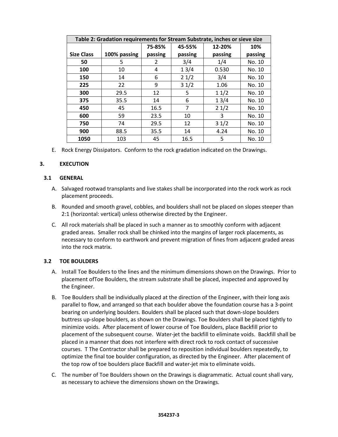| Table 2: Gradation requirements for Stream Substrate, inches or sieve size |              |         |         |         |         |  |
|----------------------------------------------------------------------------|--------------|---------|---------|---------|---------|--|
|                                                                            |              | 75-85%  | 45-55%  | 12-20%  | 10%     |  |
| <b>Size Class</b>                                                          | 100% passing | passing | passing | passing | passing |  |
| 50                                                                         | 5            | 2       | 3/4     | 1/4     | No. 10  |  |
| 100                                                                        | 10           | 4       | 13/4    | 0.530   | No. 10  |  |
| 150                                                                        | 14           | 6       | 21/2    | 3/4     | No. 10  |  |
| 225                                                                        | 22           | 9       | 31/2    | 1.06    | No. 10  |  |
| 300                                                                        | 29.5         | 12      | 5       | 11/2    | No. 10  |  |
| 375                                                                        | 35.5         | 14      | 6       | 13/4    | No. 10  |  |
| 450                                                                        | 45           | 16.5    | 7       | 21/2    | No. 10  |  |
| 600                                                                        | 59           | 23.5    | 10      | 3       | No. 10  |  |
| 750                                                                        | 74           | 29.5    | 12      | 31/2    | No. 10  |  |
| 900                                                                        | 88.5         | 35.5    | 14      | 4.24    | No. 10  |  |
| 1050                                                                       | 103          | 45      | 16.5    | 5       | No. 10  |  |

E. Rock Energy Dissipators. Conform to the rock gradation indicated on the Drawings.

#### <span id="page-68-0"></span>**3. EXECUTION**

#### <span id="page-68-1"></span>**3.1 GENERAL**

- A. Salvaged rootwad transplants and live stakes shall be incorporated into the rock work as rock placement proceeds.
- B. Rounded and smooth gravel, cobbles, and boulders shall not be placed on slopes steeper than 2:1 (horizontal: vertical) unless otherwise directed by the Engineer.
- C. All rock materials shall be placed in such a manner as to smoothly conform with adjacent graded areas. Smaller rock shall be chinked into the margins of larger rock placements, as necessary to conform to earthwork and prevent migration of fines from adjacent graded areas into the rock matrix.

#### <span id="page-68-2"></span>**3.2 TOE BOULDERS**

- A. Install Toe Boulders to the lines and the minimum dimensions shown on the Drawings. Prior to placement ofToe Boulders, the stream substrate shall be placed, inspected and approved by the Engineer.
- B. Toe Boulders shall be individually placed at the direction of the Engineer, with their long axis parallel to flow, and arranged so that each boulder above the foundation course has a 3-point bearing on underlying boulders. Boulders shall be placed such that down-slope boulders buttress up-slope boulders, as shown on the Drawings. Toe Boulders shall be placed tightly to minimize voids. After placement of lower course of Toe Boulders, place Backfill prior to placement of the subsequent course. Water-jet the backfill to eliminate voids. Backfill shall be placed in a manner that does not interfere with direct rock to rock contact of successive courses. T The Contractor shall be prepared to reposition individual boulders repeatedly, to optimize the final toe boulder configuration, as directed by the Engineer. After placement of the top row of toe boulders place Backfill and water-jet mix to eliminate voids.
- C. The number of Toe Boulders shown on the Drawings is diagrammatic. Actual count shall vary, as necessary to achieve the dimensions shown on the Drawings.